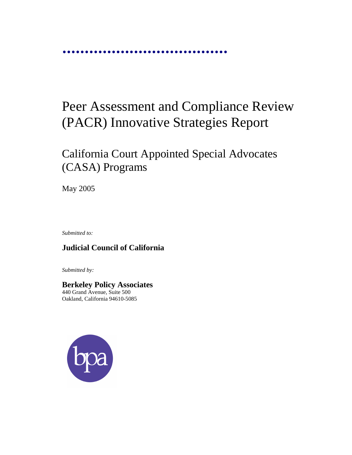jjjjjjjjjjjjjjjjjjjjjjjjjjjjjjjjjjjjj

# Peer Assessment and Compliance Review (PACR) Innovative Strategies Report

## California Court Appointed Special Advocates (CASA) Programs

May 2005

*Submitted to:* 

## **Judicial Council of California**

*Submitted by:* 

## **Berkeley Policy Associates**  440 Grand Avenue, Suite 500

Oakland, California 94610-5085

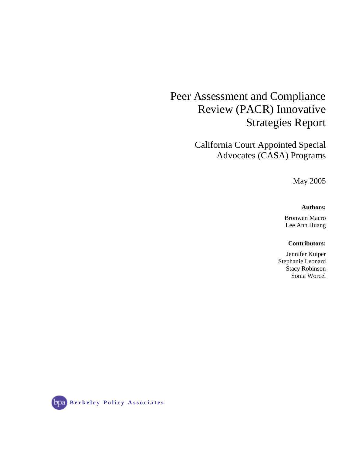## Peer Assessment and Compliance Review (PACR) Innovative Strategies Report

California Court Appointed Special Advocates (CASA) Programs

May 2005

#### **Authors:**

Bronwen Macro Lee Ann Huang

### **Contributors:**

Jennifer Kuiper Stephanie Leonard Stacy Robinson Sonia Worcel

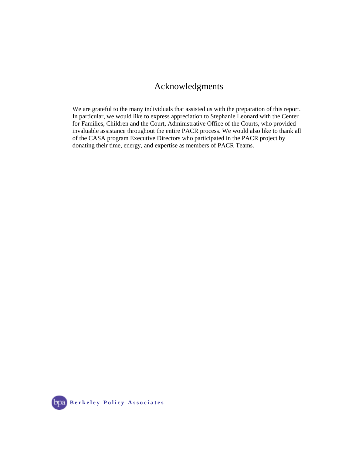## Acknowledgments

We are grateful to the many individuals that assisted us with the preparation of this report. In particular, we would like to express appreciation to Stephanie Leonard with the Center for Families, Children and the Court, Administrative Office of the Courts, who provided invaluable assistance throughout the entire PACR process. We would also like to thank all of the CASA program Executive Directors who participated in the PACR project by donating their time, energy, and expertise as members of PACR Teams.

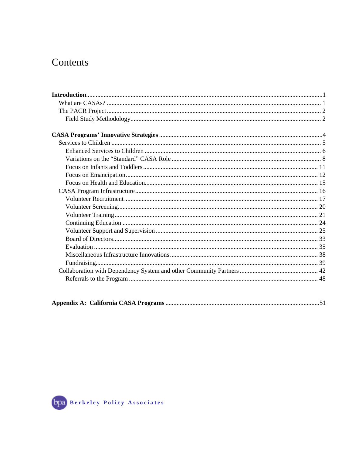## Contents

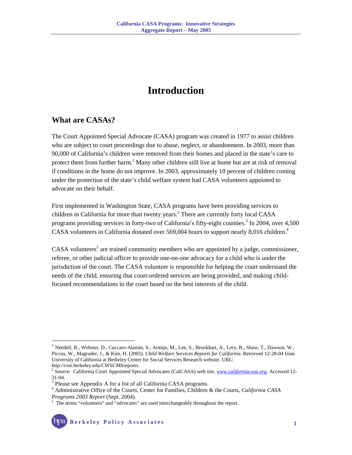## **Introduction**

## **What are CASAs?**

The Court Appointed Special Advocate (CASA) program was created in 1977 to assist children who are subject to court proceedings due to abuse, neglect, or abandonment. In 2003, more than 90,000 of California's children were removed from their homes and placed in the state's care to protect them from further harm.<sup>1</sup> Many other children still live at home but are at risk of removal if conditions in the home do not improve. In 2003, approximately 10 percent of children coming under the protection of the state's child welfare system had CASA volunteers appointed to advocate on their behalf.

First implemented in Washington State, CASA programs have been providing services to children in California for more than twenty years.<sup>2</sup> There are currently forty local CASA programs providing services in forty-two of California's fifty-eight counties.<sup>3</sup> In 2004, over 4,500 CASA volunteers in California donated over 569,004 hours to support nearly 8,016 children.<sup>4</sup>

CASA volunteers<sup>5</sup> are trained community members who are appointed by a judge, commissioner, referee, or other judicial officer to provide one-on-one advocacy for a child who is under the jurisdiction of the court. The CASA volunteer is responsible for helping the court understand the needs of the child, ensuring that court-ordered services are being provided, and making childfocused recommendations to the court based on the best interests of the child.

 $\overline{a}$ 

<sup>&</sup>lt;sup>1</sup> Needell, B., Webster, D., Cuccaro-Alamin, S., Armijo, M., Lee, S., Brookhart, A., Lery, B., Shaw, T., Dawson, W., Piccus, W., Magruder, J., & Kim, H. (2003). *Child Welfare Services Reports for California*. Retrieved 12-28-04 from University of California at Berkeley Center for Social Services Research website. URL: http://cssr.berkeley.edu/CWSCMSreports.

<sup>2</sup> Source: California Court Appointed Special Advocates (CalCASA) web site, *www.californiacasa.org*. Accessed 12- 31-04.

<sup>&</sup>lt;sup>3</sup> Please see Appendix A for a list of all California CASA programs.

<sup>4</sup> Administrative Office of the Courts, Center for Families, Children & the Courts, *California CASA*  Programs 2003 Report (Sept. 2004).

<sup>&</sup>lt;sup>5</sup> The terms "volunteers" and "advocates" are used interchangeably throughout the report.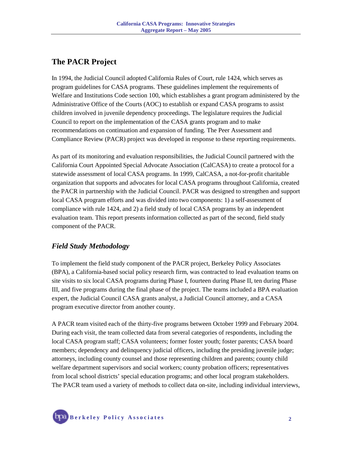## **The PACR Project**

In 1994, the Judicial Council adopted California Rules of Court, rule 1424, which serves as program guidelines for CASA programs. These guidelines implement the requirements of Welfare and Institutions Code section 100, which establishes a grant program administered by the Administrative Office of the Courts (AOC) to establish or expand CASA programs to assist children involved in juvenile dependency proceedings. The legislature requires the Judicial Council to report on the implementation of the CASA grants program and to make recommendations on continuation and expansion of funding. The Peer Assessment and Compliance Review (PACR) project was developed in response to these reporting requirements.

As part of its monitoring and evaluation responsibilities, the Judicial Council partnered with the California Court Appointed Special Advocate Association (CalCASA) to create a protocol for a statewide assessment of local CASA programs. In 1999, CalCASA, a not-for-profit charitable organization that supports and advocates for local CASA programs throughout California, created the PACR in partnership with the Judicial Council. PACR was designed to strengthen and support local CASA program efforts and was divided into two components: 1) a self-assessment of compliance with rule 1424, and 2) a field study of local CASA programs by an independent evaluation team. This report presents information collected as part of the second, field study component of the PACR.

## *Field Study Methodology*

To implement the field study component of the PACR project, Berkeley Policy Associates (BPA), a California-based social policy research firm, was contracted to lead evaluation teams on site visits to six local CASA programs during Phase I, fourteen during Phase II, ten during Phase III, and five programs during the final phase of the project. The teams included a BPA evaluation expert, the Judicial Council CASA grants analyst, a Judicial Council attorney, and a CASA program executive director from another county.

A PACR team visited each of the thirty-five programs between October 1999 and February 2004. During each visit, the team collected data from several categories of respondents, including the local CASA program staff; CASA volunteers; former foster youth; foster parents; CASA board members; dependency and delinquency judicial officers, including the presiding juvenile judge; attorneys, including county counsel and those representing children and parents; county child welfare department supervisors and social workers; county probation officers; representatives from local school districts' special education programs; and other local program stakeholders. The PACR team used a variety of methods to collect data on-site, including individual interviews,

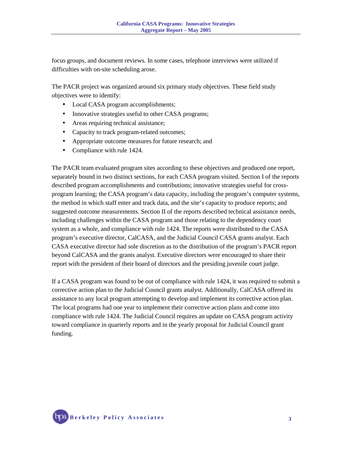focus groups, and document reviews. In some cases, telephone interviews were utilized if difficulties with on-site scheduling arose.

The PACR project was organized around six primary study objectives. These field study objectives were to identify:

- Local CASA program accomplishments;
- Innovative strategies useful to other CASA programs;
- Areas requiring technical assistance;
- Capacity to track program-related outcomes;
- Appropriate outcome measures for future research; and
- Compliance with rule 1424.

The PACR team evaluated program sites according to these objectives and produced one report, separately bound in two distinct sections, for each CASA program visited. Section I of the reports described program accomplishments and contributions; innovative strategies useful for crossprogram learning; the CASA program's data capacity, including the program's computer systems, the method in which staff enter and track data, and the site's capacity to produce reports; and suggested outcome measurements. Section II of the reports described technical assistance needs, including challenges within the CASA program and those relating to the dependency court system as a whole, and compliance with rule 1424. The reports were distributed to the CASA program's executive director, CalCASA, and the Judicial Council CASA grants analyst. Each CASA executive director had sole discretion as to the distribution of the program's PACR report beyond CalCASA and the grants analyst. Executive directors were encouraged to share their report with the president of their board of directors and the presiding juvenile court judge.

If a CASA program was found to be out of compliance with rule 1424, it was required to submit a corrective action plan to the Judicial Council grants analyst. Additionally, CalCASA offered its assistance to any local program attempting to develop and implement its corrective action plan. The local programs had one year to implement their corrective action plans and come into compliance with rule 1424. The Judicial Council requires an update on CASA program activity toward compliance in quarterly reports and in the yearly proposal for Judicial Council grant funding.

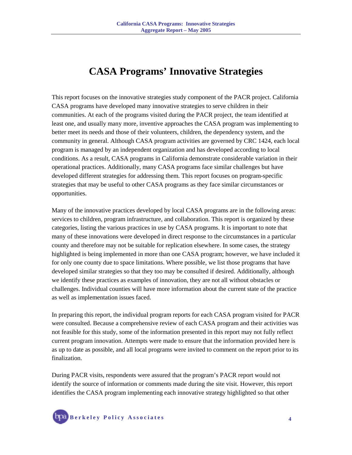## **CASA Programs' Innovative Strategies**

This report focuses on the innovative strategies study component of the PACR project. California CASA programs have developed many innovative strategies to serve children in their communities. At each of the programs visited during the PACR project, the team identified at least one, and usually many more, inventive approaches the CASA program was implementing to better meet its needs and those of their volunteers, children, the dependency system, and the community in general. Although CASA program activities are governed by CRC 1424, each local program is managed by an independent organization and has developed according to local conditions. As a result, CASA programs in California demonstrate considerable variation in their operational practices. Additionally, many CASA programs face similar challenges but have developed different strategies for addressing them. This report focuses on program-specific strategies that may be useful to other CASA programs as they face similar circumstances or opportunities.

Many of the innovative practices developed by local CASA programs are in the following areas: services to children, program infrastructure, and collaboration. This report is organized by these categories, listing the various practices in use by CASA programs. It is important to note that many of these innovations were developed in direct response to the circumstances in a particular county and therefore may not be suitable for replication elsewhere. In some cases, the strategy highlighted is being implemented in more than one CASA program; however, we have included it for only one county due to space limitations. Where possible, we list those programs that have developed similar strategies so that they too may be consulted if desired. Additionally, although we identify these practices as examples of innovation, they are not all without obstacles or challenges. Individual counties will have more information about the current state of the practice as well as implementation issues faced.

In preparing this report, the individual program reports for each CASA program visited for PACR were consulted. Because a comprehensive review of each CASA program and their activities was not feasible for this study, some of the information presented in this report may not fully reflect current program innovation. Attempts were made to ensure that the information provided here is as up to date as possible, and all local programs were invited to comment on the report prior to its finalization.

During PACR visits, respondents were assured that the program's PACR report would not identify the source of information or comments made during the site visit. However, this report identifies the CASA program implementing each innovative strategy highlighted so that other

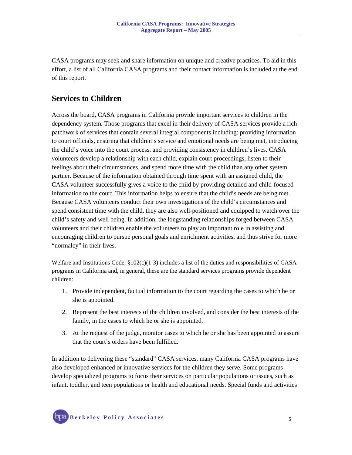CASA programs may seek and share information on unique and creative practices. To aid in this effort, a list of all California CASA programs and their contact information is included at the end of this report.

## **Services to Children**

Across the board, CASA programs in California provide important services to children in the dependency system. Those programs that excel in their delivery of CASA services provide a rich patchwork of services that contain several integral components including: providing information to court officials, ensuring that children's service and emotional needs are being met, introducing the child's voice into the court process, and providing consistency in children's lives. CASA volunteers develop a relationship with each child, explain court proceedings, listen to their feelings about their circumstances, and spend more time with the child than any other system partner. Because of the information obtained through time spent with an assigned child, the CASA volunteer successfully gives a voice to the child by providing detailed and child-focused information to the court. This information helps to ensure that the child's needs are being met. Because CASA volunteers conduct their own investigations of the child's circumstances and spend consistent time with the child, they are also well-positioned and equipped to watch over the child's safety and well being. In addition, the longstanding relationships forged between CASA volunteers and their children enable the volunteers to play an important role in assisting and encouraging children to pursue personal goals and enrichment activities, and thus strive for more "normalcy" in their lives.

Welfare and Institutions Code,  $\S 102(c)(1-3)$  includes a list of the duties and responsibilities of CASA programs in California and, in general, these are the standard services programs provide dependent children:

- 1. Provide independent, factual information to the court regarding the cases to which he or she is appointed.
- 2. Represent the best interests of the children involved, and consider the best interests of the family, in the cases to which he or she is appointed.
- 3. At the request of the judge, monitor cases to which he or she has been appointed to assure that the court's orders have been fulfilled.

In addition to delivering these "standard" CASA services, many California CASA programs have also developed enhanced or innovative services for the children they serve. Some programs develop specialized programs to focus their services on particular populations or issues, such as infant, toddler, and teen populations or health and educational needs. Special funds and activities

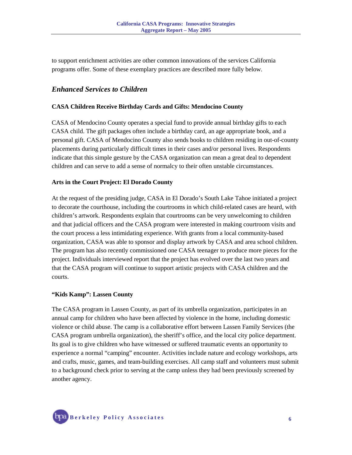to support enrichment activities are other common innovations of the services California programs offer. Some of these exemplary practices are described more fully below.

## *Enhanced Services to Children*

#### **CASA Children Receive Birthday Cards and Gifts: Mendocino County**

CASA of Mendocino County operates a special fund to provide annual birthday gifts to each CASA child. The gift packages often include a birthday card, an age appropriate book, and a personal gift. CASA of Mendocino County also sends books to children residing in out-of-county placements during particularly difficult times in their cases and/or personal lives. Respondents indicate that this simple gesture by the CASA organization can mean a great deal to dependent children and can serve to add a sense of normalcy to their often unstable circumstances.

#### **Arts in the Court Project: El Dorado County**

At the request of the presiding judge, CASA in El Dorado's South Lake Tahoe initiated a project to decorate the courthouse, including the courtrooms in which child-related cases are heard, with children's artwork. Respondents explain that courtrooms can be very unwelcoming to children and that judicial officers and the CASA program were interested in making courtroom visits and the court process a less intimidating experience. With grants from a local community-based organization, CASA was able to sponsor and display artwork by CASA and area school children. The program has also recently commissioned one CASA teenager to produce more pieces for the project. Individuals interviewed report that the project has evolved over the last two years and that the CASA program will continue to support artistic projects with CASA children and the courts.

#### **"Kids Kamp": Lassen County**

The CASA program in Lassen County, as part of its umbrella organization, participates in an annual camp for children who have been affected by violence in the home, including domestic violence or child abuse. The camp is a collaborative effort between Lassen Family Services (the CASA program umbrella organization), the sheriff's office, and the local city police department. Its goal is to give children who have witnessed or suffered traumatic events an opportunity to experience a normal "camping" encounter. Activities include nature and ecology workshops, arts and crafts, music, games, and team-building exercises. All camp staff and volunteers must submit to a background check prior to serving at the camp unless they had been previously screened by another agency.

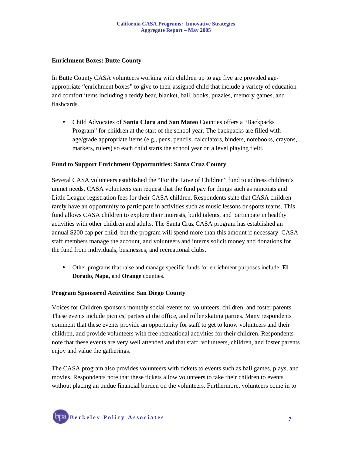#### **Enrichment Boxes: Butte County**

In Butte County CASA volunteers working with children up to age five are provided ageappropriate "enrichment boxes" to give to their assigned child that include a variety of education and comfort items including a teddy bear, blanket, ball, books, puzzles, memory games, and flashcards.

• Child Advocates of **Santa Clara and San Mateo** Counties offers a "Backpacks Program" for children at the start of the school year. The backpacks are filled with age/grade appropriate items (e.g., pens, pencils, calculators, binders, notebooks, crayons, markers, rulers) so each child starts the school year on a level playing field.

#### **Fund to Support Enrichment Opportunities: Santa Cruz County**

Several CASA volunteers established the "For the Love of Children" fund to address children's unmet needs. CASA volunteers can request that the fund pay for things such as raincoats and Little League registration fees for their CASA children. Respondents state that CASA children rarely have an opportunity to participate in activities such as music lessons or sports teams. This fund allows CASA children to explore their interests, build talents, and participate in healthy activities with other children and adults. The Santa Cruz CASA program has established an annual \$200 cap per child, but the program will spend more than this amount if necessary. CASA staff members manage the account, and volunteers and interns solicit money and donations for the fund from individuals, businesses, and recreational clubs.

• Other programs that raise and manage specific funds for enrichment purposes include: **El Dorado**, **Napa**, and **Orange** counties.

#### **Program Sponsored Activities: San Diego County**

Voices for Children sponsors monthly social events for volunteers, children, and foster parents. These events include picnics, parties at the office, and roller skating parties. Many respondents comment that these events provide an opportunity for staff to get to know volunteers and their children, and provide volunteers with free recreational activities for their children. Respondents note that these events are very well attended and that staff, volunteers, children, and foster parents enjoy and value the gatherings.

The CASA program also provides volunteers with tickets to events such as ball games, plays, and movies. Respondents note that these tickets allow volunteers to take their children to events without placing an undue financial burden on the volunteers. Furthermore, volunteers come in to

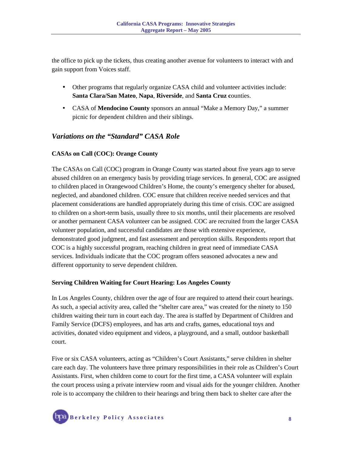the office to pick up the tickets, thus creating another avenue for volunteers to interact with and gain support from Voices staff.

- Other programs that regularly organize CASA child and volunteer activities include: **Santa Clara/San Mateo**, **Napa**, **Riverside**, and **Santa Cruz c**ounties.
- CASA of **Mendocino County** sponsors an annual "Make a Memory Day," a summer picnic for dependent children and their siblings.

## *Variations on the "Standard" CASA Role*

#### **CASAs on Call (COC): Orange County**

The CASAs on Call (COC) program in Orange County was started about five years ago to serve abused children on an emergency basis by providing triage services. In general, COC are assigned to children placed in Orangewood Children's Home, the county's emergency shelter for abused, neglected, and abandoned children. COC ensure that children receive needed services and that placement considerations are handled appropriately during this time of crisis. COC are assigned to children on a short-term basis, usually three to six months, until their placements are resolved or another permanent CASA volunteer can be assigned. COC are recruited from the larger CASA volunteer population, and successful candidates are those with extensive experience, demonstrated good judgment, and fast assessment and perception skills. Respondents report that COC is a highly successful program, reaching children in great need of immediate CASA services. Individuals indicate that the COC program offers seasoned advocates a new and different opportunity to serve dependent children.

#### **Serving Children Waiting for Court Hearing: Los Angeles County**

In Los Angeles County, children over the age of four are required to attend their court hearings. As such, a special activity area, called the "shelter care area," was created for the ninety to 150 children waiting their turn in court each day. The area is staffed by Department of Children and Family Service (DCFS) employees, and has arts and crafts, games, educational toys and activities, donated video equipment and videos, a playground, and a small, outdoor basketball court.

Five or six CASA volunteers, acting as "Children's Court Assistants," serve children in shelter care each day. The volunteers have three primary responsibilities in their role as Children's Court Assistants. First, when children come to court for the first time, a CASA volunteer will explain the court process using a private interview room and visual aids for the younger children. Another role is to accompany the children to their hearings and bring them back to shelter care after the

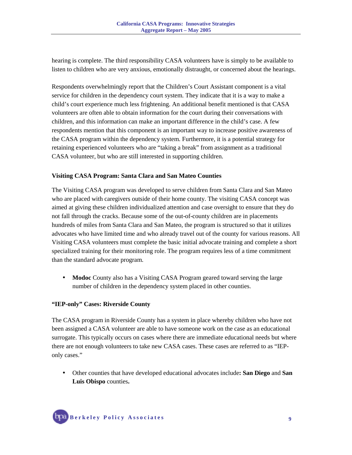hearing is complete. The third responsibility CASA volunteers have is simply to be available to listen to children who are very anxious, emotionally distraught, or concerned about the hearings.

Respondents overwhelmingly report that the Children's Court Assistant component is a vital service for children in the dependency court system. They indicate that it is a way to make a child's court experience much less frightening. An additional benefit mentioned is that CASA volunteers are often able to obtain information for the court during their conversations with children, and this information can make an important difference in the child's case. A few respondents mention that this component is an important way to increase positive awareness of the CASA program within the dependency system. Furthermore, it is a potential strategy for retaining experienced volunteers who are "taking a break" from assignment as a traditional CASA volunteer, but who are still interested in supporting children.

#### **Visiting CASA Program: Santa Clara and San Mateo Counties**

The Visiting CASA program was developed to serve children from Santa Clara and San Mateo who are placed with caregivers outside of their home county. The visiting CASA concept was aimed at giving these children individualized attention and case oversight to ensure that they do not fall through the cracks. Because some of the out-of-county children are in placements hundreds of miles from Santa Clara and San Mateo, the program is structured so that it utilizes advocates who have limited time and who already travel out of the county for various reasons. All Visiting CASA volunteers must complete the basic initial advocate training and complete a short specialized training for their monitoring role. The program requires less of a time commitment than the standard advocate program.

• **Modoc** County also has a Visiting CASA Program geared toward serving the large number of children in the dependency system placed in other counties.

#### **"IEP-only" Cases: Riverside County**

The CASA program in Riverside County has a system in place whereby children who have not been assigned a CASA volunteer are able to have someone work on the case as an educational surrogate. This typically occurs on cases where there are immediate educational needs but where there are not enough volunteers to take new CASA cases. These cases are referred to as "IEPonly cases."

• Other counties that have developed educational advocates include**: San Diego** and **San Luis Obispo** counties**.**

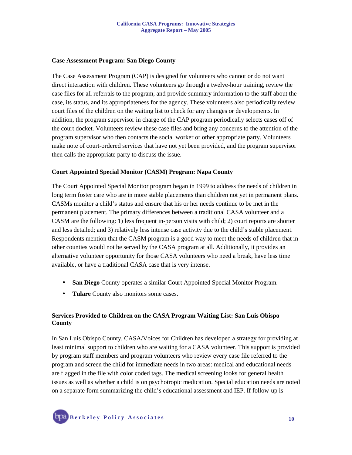#### **Case Assessment Program: San Diego County**

The Case Assessment Program (CAP) is designed for volunteers who cannot or do not want direct interaction with children. These volunteers go through a twelve-hour training, review the case files for all referrals to the program, and provide summary information to the staff about the case, its status, and its appropriateness for the agency. These volunteers also periodically review court files of the children on the waiting list to check for any changes or developments. In addition, the program supervisor in charge of the CAP program periodically selects cases off of the court docket. Volunteers review these case files and bring any concerns to the attention of the program supervisor who then contacts the social worker or other appropriate party. Volunteers make note of court-ordered services that have not yet been provided, and the program supervisor then calls the appropriate party to discuss the issue.

#### **Court Appointed Special Monitor (CASM) Program: Napa County**

The Court Appointed Special Monitor program began in 1999 to address the needs of children in long term foster care who are in more stable placements than children not yet in permanent plans. CASMs monitor a child's status and ensure that his or her needs continue to be met in the permanent placement. The primary differences between a traditional CASA volunteer and a CASM are the following: 1) less frequent in-person visits with child; 2) court reports are shorter and less detailed; and 3) relatively less intense case activity due to the child's stable placement. Respondents mention that the CASM program is a good way to meet the needs of children that in other counties would not be served by the CASA program at all. Additionally, it provides an alternative volunteer opportunity for those CASA volunteers who need a break, have less time available, or have a traditional CASA case that is very intense.

- **San Diego** County operates a similar Court Appointed Special Monitor Program.
- **Tulare** County also monitors some cases.

#### **Services Provided to Children on the CASA Program Waiting List: San Luis Obispo County**

In San Luis Obispo County, CASA/Voices for Children has developed a strategy for providing at least minimal support to children who are waiting for a CASA volunteer. This support is provided by program staff members and program volunteers who review every case file referred to the program and screen the child for immediate needs in two areas: medical and educational needs are flagged in the file with color coded tags. The medical screening looks for general health issues as well as whether a child is on psychotropic medication. Special education needs are noted on a separate form summarizing the child's educational assessment and IEP. If follow-up is

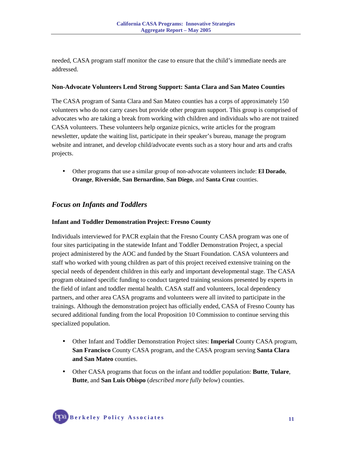needed, CASA program staff monitor the case to ensure that the child's immediate needs are addressed.

#### **Non-Advocate Volunteers Lend Strong Support: Santa Clara and San Mateo Counties**

The CASA program of Santa Clara and San Mateo counties has a corps of approximately 150 volunteers who do not carry cases but provide other program support. This group is comprised of advocates who are taking a break from working with children and individuals who are not trained CASA volunteers. These volunteers help organize picnics, write articles for the program newsletter, update the waiting list, participate in their speaker's bureau, manage the program website and intranet, and develop child/advocate events such as a story hour and arts and crafts projects.

• Other programs that use a similar group of non-advocate volunteers include: **El Dorado**, **Orange**, **Riverside**, **San Bernardino**, **San Diego**, and **Santa Cruz** counties.

## *Focus on Infants and Toddlers*

#### **Infant and Toddler Demonstration Project: Fresno County**

Individuals interviewed for PACR explain that the Fresno County CASA program was one of four sites participating in the statewide Infant and Toddler Demonstration Project, a special project administered by the AOC and funded by the Stuart Foundation. CASA volunteers and staff who worked with young children as part of this project received extensive training on the special needs of dependent children in this early and important developmental stage. The CASA program obtained specific funding to conduct targeted training sessions presented by experts in the field of infant and toddler mental health. CASA staff and volunteers, local dependency partners, and other area CASA programs and volunteers were all invited to participate in the trainings. Although the demonstration project has officially ended, CASA of Fresno County has secured additional funding from the local Proposition 10 Commission to continue serving this specialized population.

- Other Infant and Toddler Demonstration Project sites: **Imperial** County CASA program, **San Francisco** County CASA program, and the CASA program serving **Santa Clara and San Mateo** counties.
- Other CASA programs that focus on the infant and toddler population: **Butte**, **Tulare**, **Butte**, and **San Luis Obispo** (*described more fully below*) counties.

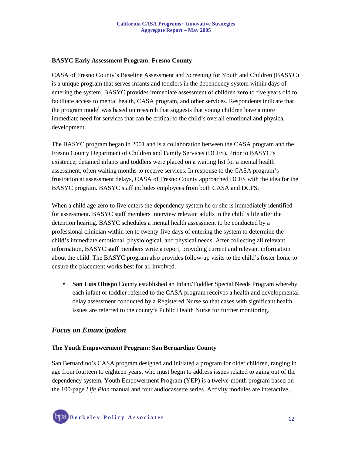#### **BASYC Early Assessment Program: Fresno County**

CASA of Fresno County's Baseline Assessment and Screening for Youth and Children (BASYC) is a unique program that serves infants and toddlers in the dependency system within days of entering the system. BASYC provides immediate assessment of children zero to five years old to facilitate access to mental health, CASA program, and other services. Respondents indicate that the program model was based on research that suggests that young children have a more immediate need for services that can be critical to the child's overall emotional and physical development.

The BASYC program began in 2001 and is a collaboration between the CASA program and the Fresno County Department of Children and Family Services (DCFS). Prior to BASYC's existence, detained infants and toddlers were placed on a waiting list for a mental health assessment, often waiting months to receive services. In response to the CASA program's frustration at assessment delays, CASA of Fresno County approached DCFS with the idea for the BASYC program. BASYC staff includes employees from both CASA and DCFS.

When a child age zero to five enters the dependency system he or she is immediately identified for assessment. BASYC staff members interview relevant adults in the child's life after the detention hearing. BASYC schedules a mental health assessment to be conducted by a professional clinician within ten to twenty-five days of entering the system to determine the child's immediate emotional, physiological, and physical needs. After collecting all relevant information, BASYC staff members write a report, providing current and relevant information about the child. The BASYC program also provides follow-up visits to the child's foster home to ensure the placement works best for all involved.

• **San Luis Obispo** County established an Infant/Toddler Special Needs Program whereby each infant or toddler referred to the CASA program receives a health and developmental delay assessment conducted by a Registered Nurse so that cases with significant health issues are referred to the county's Public Health Nurse for further monitoring.

## *Focus on Emancipation*

#### **The Youth Empowerment Program: San Bernardino County**

San Bernardino's CASA program designed and initiated a program for older children, ranging in age from fourteen to eighteen years, who must begin to address issues related to aging out of the dependency system. Youth Empowerment Program (YEP) is a twelve-month program based on the 100-page *Life Plan* manual and four audiocassette series. Activity modules are interactive,

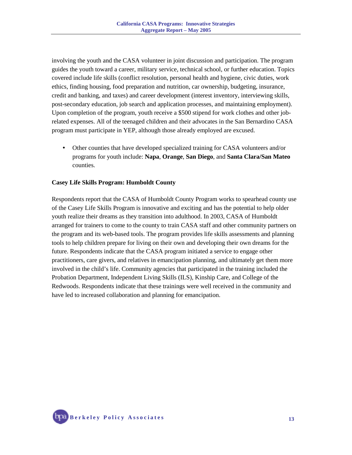involving the youth and the CASA volunteer in joint discussion and participation. The program guides the youth toward a career, military service, technical school, or further education. Topics covered include life skills (conflict resolution, personal health and hygiene, civic duties, work ethics, finding housing, food preparation and nutrition, car ownership, budgeting, insurance, credit and banking, and taxes) and career development (interest inventory, interviewing skills, post-secondary education, job search and application processes, and maintaining employment). Upon completion of the program, youth receive a \$500 stipend for work clothes and other jobrelated expenses. All of the teenaged children and their advocates in the San Bernardino CASA program must participate in YEP, although those already employed are excused.

• Other counties that have developed specialized training for CASA volunteers and/or programs for youth include: **Napa**, **Orange**, **San Diego**, and **Santa Clara/San Mateo**  counties.

#### **Casey Life Skills Program: Humboldt County**

Respondents report that the CASA of Humboldt County Program works to spearhead county use of the Casey Life Skills Program is innovative and exciting and has the potential to help older youth realize their dreams as they transition into adulthood. In 2003, CASA of Humboldt arranged for trainers to come to the county to train CASA staff and other community partners on the program and its web-based tools. The program provides life skills assessments and planning tools to help children prepare for living on their own and developing their own dreams for the future. Respondents indicate that the CASA program initiated a service to engage other practitioners, care givers, and relatives in emancipation planning, and ultimately get them more involved in the child's life. Community agencies that participated in the training included the Probation Department, Independent Living Skills (ILS), Kinship Care, and College of the Redwoods. Respondents indicate that these trainings were well received in the community and have led to increased collaboration and planning for emancipation.

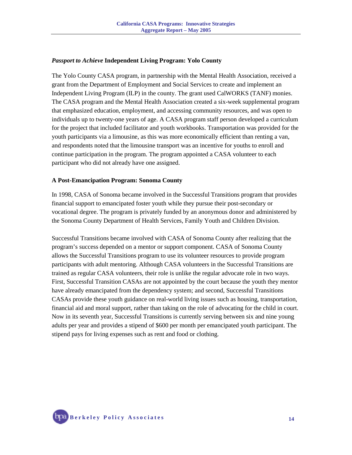#### *Passport to Achieve* **Independent Living Program: Yolo County**

The Yolo County CASA program, in partnership with the Mental Health Association, received a grant from the Department of Employment and Social Services to create and implement an Independent Living Program (ILP) in the county. The grant used CalWORKS (TANF) monies. The CASA program and the Mental Health Association created a six-week supplemental program that emphasized education, employment, and accessing community resources, and was open to individuals up to twenty-one years of age. A CASA program staff person developed a curriculum for the project that included facilitator and youth workbooks. Transportation was provided for the youth participants via a limousine, as this was more economically efficient than renting a van, and respondents noted that the limousine transport was an incentive for youths to enroll and continue participation in the program. The program appointed a CASA volunteer to each participant who did not already have one assigned.

#### **A Post-Emancipation Program: Sonoma County**

In 1998, CASA of Sonoma became involved in the Successful Transitions program that provides financial support to emancipated foster youth while they pursue their post-secondary or vocational degree. The program is privately funded by an anonymous donor and administered by the Sonoma County Department of Health Services, Family Youth and Children Division.

Successful Transitions became involved with CASA of Sonoma County after realizing that the program's success depended on a mentor or support component. CASA of Sonoma County allows the Successful Transitions program to use its volunteer resources to provide program participants with adult mentoring. Although CASA volunteers in the Successful Transitions are trained as regular CASA volunteers, their role is unlike the regular advocate role in two ways. First, Successful Transition CASAs are not appointed by the court because the youth they mentor have already emancipated from the dependency system; and second, Successful Transitions CASAs provide these youth guidance on real-world living issues such as housing, transportation, financial aid and moral support, rather than taking on the role of advocating for the child in court. Now in its seventh year, Successful Transitions is currently serving between six and nine young adults per year and provides a stipend of \$600 per month per emancipated youth participant. The stipend pays for living expenses such as rent and food or clothing.

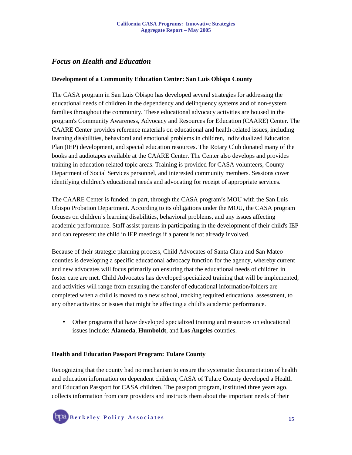## *Focus on Health and Education*

#### **Development of a Community Education Center: San Luis Obispo County**

The CASA program in San Luis Obispo has developed several strategies for addressing the educational needs of children in the dependency and delinquency systems and of non-system families throughout the community. These educational advocacy activities are housed in the program's Community Awareness, Advocacy and Resources for Education (CAARE) Center. The CAARE Center provides reference materials on educational and health-related issues, including learning disabilities, behavioral and emotional problems in children, Individualized Education Plan (IEP) development, and special education resources. The Rotary Club donated many of the books and audiotapes available at the CAARE Center. The Center also develops and provides training in education-related topic areas. Training is provided for CASA volunteers, County Department of Social Services personnel, and interested community members. Sessions cover identifying children's educational needs and advocating for receipt of appropriate services.

The CAARE Center is funded, in part, through the CASA program's MOU with the San Luis Obispo Probation Department. According to its obligations under the MOU, the CASA program focuses on children's learning disabilities, behavioral problems, and any issues affecting academic performance. Staff assist parents in participating in the development of their child's IEP and can represent the child in IEP meetings if a parent is not already involved.

Because of their strategic planning process, Child Advocates of Santa Clara and San Mateo counties is developing a specific educational advocacy function for the agency, whereby current and new advocates will focus primarily on ensuring that the educational needs of children in foster care are met. Child Advocates has developed specialized training that will be implemented, and activities will range from ensuring the transfer of educational information/folders are completed when a child is moved to a new school, tracking required educational assessment, to any other activities or issues that might be affecting a child's academic performance.

• Other programs that have developed specialized training and resources on educational issues include: **Alameda**, **Humboldt**, and **Los Angeles** counties.

#### **Health and Education Passport Program: Tulare County**

Recognizing that the county had no mechanism to ensure the systematic documentation of health and education information on dependent children, CASA of Tulare County developed a Health and Education Passport for CASA children. The passport program, instituted three years ago, collects information from care providers and instructs them about the important needs of their

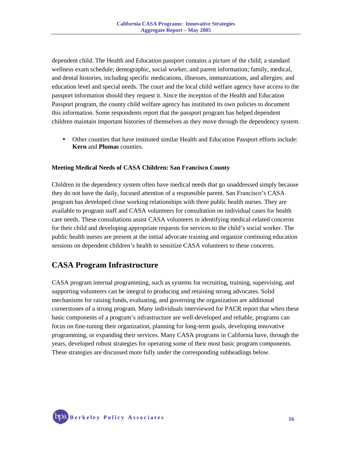dependent child. The Health and Education passport contains a picture of the child; a standard wellness exam schedule; demographic, social worker, and parent information; family, medical, and dental histories, including specific medications, illnesses, immunizations, and allergies; and education level and special needs. The court and the local child welfare agency have access to the passport information should they request it. Since the inception of the Health and Education Passport program, the county child welfare agency has instituted its own policies to document this information. Some respondents report that the passport program has helped dependent children maintain important histories of themselves as they move through the dependency system.

• Other counties that have instituted similar Health and Education Passport efforts include: **Kern** and **Plumas** counties.

#### **Meeting Medical Needs of CASA Children: San Francisco County**

Children in the dependency system often have medical needs that go unaddressed simply because they do not have the daily, focused attention of a responsible parent. San Francisco's CASA program has developed close working relationships with three public health nurses. They are available to program staff and CASA volunteers for consultation on individual cases for health care needs. These consultations assist CASA volunteers in identifying medical-related concerns for their child and developing appropriate requests for services to the child's social worker. The public health nurses are present at the initial advocate training and organize continuing education sessions on dependent children's health to sensitize CASA volunteers to these concerns.

## **CASA Program Infrastructure**

CASA program internal programming, such as systems for recruiting, training, supervising, and supporting volunteers can be integral to producing and retaining strong advocates. Solid mechanisms for raising funds, evaluating, and governing the organization are additional cornerstones of a strong program. Many individuals interviewed for PACR report that when these basic components of a program's infrastructure are well-developed and reliable, programs can focus on fine-tuning their organization, planning for long-term goals, developing innovative programming, or expanding their services. Many CASA programs in California have, through the years, developed robust strategies for operating some of their most basic program components. These strategies are discussed more fully under the corresponding subheadings below.

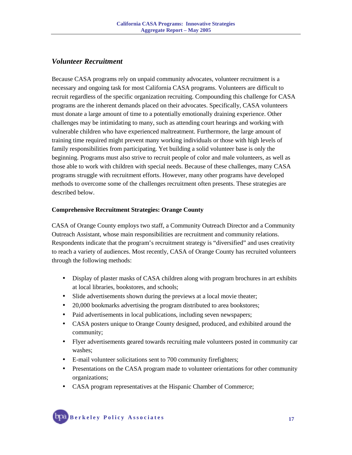## *Volunteer Recruitment*

Because CASA programs rely on unpaid community advocates, volunteer recruitment is a necessary and ongoing task for most California CASA programs. Volunteers are difficult to recruit regardless of the specific organization recruiting. Compounding this challenge for CASA programs are the inherent demands placed on their advocates. Specifically, CASA volunteers must donate a large amount of time to a potentially emotionally draining experience. Other challenges may be intimidating to many, such as attending court hearings and working with vulnerable children who have experienced maltreatment. Furthermore, the large amount of training time required might prevent many working individuals or those with high levels of family responsibilities from participating. Yet building a solid volunteer base is only the beginning. Programs must also strive to recruit people of color and male volunteers, as well as those able to work with children with special needs. Because of these challenges, many CASA programs struggle with recruitment efforts. However, many other programs have developed methods to overcome some of the challenges recruitment often presents. These strategies are described below.

#### **Comprehensive Recruitment Strategies: Orange County**

CASA of Orange County employs two staff, a Community Outreach Director and a Community Outreach Assistant, whose main responsibilities are recruitment and community relations. Respondents indicate that the program's recruitment strategy is "diversified" and uses creativity to reach a variety of audiences. Most recently, CASA of Orange County has recruited volunteers through the following methods:

- Display of plaster masks of CASA children along with program brochures in art exhibits at local libraries, bookstores, and schools;
- Slide advertisements shown during the previews at a local movie theater;
- 20,000 bookmarks advertising the program distributed to area bookstores;
- Paid advertisements in local publications, including seven newspapers;
- CASA posters unique to Orange County designed, produced, and exhibited around the community;
- Flyer advertisements geared towards recruiting male volunteers posted in community car washes;
- E-mail volunteer solicitations sent to 700 community firefighters;
- Presentations on the CASA program made to volunteer orientations for other community organizations;
- CASA program representatives at the Hispanic Chamber of Commerce;

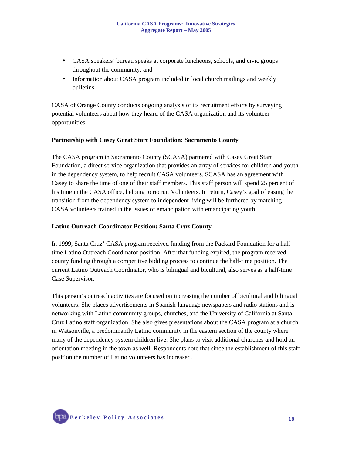- CASA speakers' bureau speaks at corporate luncheons, schools, and civic groups throughout the community; and
- Information about CASA program included in local church mailings and weekly bulletins.

CASA of Orange County conducts ongoing analysis of its recruitment efforts by surveying potential volunteers about how they heard of the CASA organization and its volunteer opportunities.

#### **Partnership with Casey Great Start Foundation: Sacramento County**

The CASA program in Sacramento County (SCASA) partnered with Casey Great Start Foundation, a direct service organization that provides an array of services for children and youth in the dependency system, to help recruit CASA volunteers. SCASA has an agreement with Casey to share the time of one of their staff members. This staff person will spend 25 percent of his time in the CASA office, helping to recruit Volunteers. In return, Casey's goal of easing the transition from the dependency system to independent living will be furthered by matching CASA volunteers trained in the issues of emancipation with emancipating youth.

#### **Latino Outreach Coordinator Position: Santa Cruz County**

In 1999, Santa Cruz' CASA program received funding from the Packard Foundation for a halftime Latino Outreach Coordinator position. After that funding expired, the program received county funding through a competitive bidding process to continue the half-time position. The current Latino Outreach Coordinator, who is bilingual and bicultural, also serves as a half-time Case Supervisor.

This person's outreach activities are focused on increasing the number of bicultural and bilingual volunteers. She places advertisements in Spanish-language newspapers and radio stations and is networking with Latino community groups, churches, and the University of California at Santa Cruz Latino staff organization. She also gives presentations about the CASA program at a church in Watsonville, a predominantly Latino community in the eastern section of the county where many of the dependency system children live. She plans to visit additional churches and hold an orientation meeting in the town as well. Respondents note that since the establishment of this staff position the number of Latino volunteers has increased.

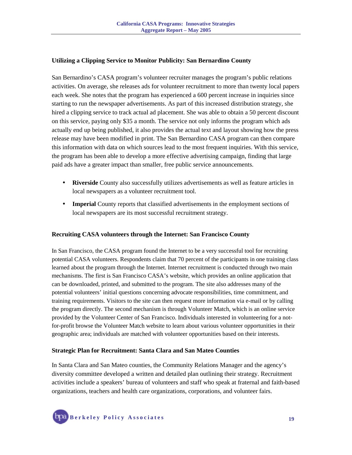#### **Utilizing a Clipping Service to Monitor Publicity: San Bernardino County**

San Bernardino's CASA program's volunteer recruiter manages the program's public relations activities. On average, she releases ads for volunteer recruitment to more than twenty local papers each week. She notes that the program has experienced a 600 percent increase in inquiries since starting to run the newspaper advertisements. As part of this increased distribution strategy, she hired a clipping service to track actual ad placement. She was able to obtain a 50 percent discount on this service, paying only \$35 a month. The service not only informs the program which ads actually end up being published, it also provides the actual text and layout showing how the press release may have been modified in print. The San Bernardino CASA program can then compare this information with data on which sources lead to the most frequent inquiries. With this service, the program has been able to develop a more effective advertising campaign, finding that large paid ads have a greater impact than smaller, free public service announcements.

- **Riverside** County also successfully utilizes advertisements as well as feature articles in local newspapers as a volunteer recruitment tool.
- **Imperial** County reports that classified advertisements in the employment sections of local newspapers are its most successful recruitment strategy.

#### **Recruiting CASA volunteers through the Internet: San Francisco County**

In San Francisco, the CASA program found the Internet to be a very successful tool for recruiting potential CASA volunteers. Respondents claim that 70 percent of the participants in one training class learned about the program through the Internet. Internet recruitment is conducted through two main mechanisms. The first is San Francisco CASA's website, which provides an online application that can be downloaded, printed, and submitted to the program. The site also addresses many of the potential volunteers' initial questions concerning advocate responsibilities, time commitment, and training requirements. Visitors to the site can then request more information via e-mail or by calling the program directly. The second mechanism is through Volunteer Match, which is an online service provided by the Volunteer Center of San Francisco. Individuals interested in volunteering for a notfor-profit browse the Volunteer Match website to learn about various volunteer opportunities in their geographic area; individuals are matched with volunteer opportunities based on their interests.

#### **Strategic Plan for Recruitment: Santa Clara and San Mateo Counties**

In Santa Clara and San Mateo counties, the Community Relations Manager and the agency's diversity committee developed a written and detailed plan outlining their strategy. Recruitment activities include a speakers' bureau of volunteers and staff who speak at fraternal and faith-based organizations, teachers and health care organizations, corporations, and volunteer fairs.

 **Berkeley Policy Associates 19**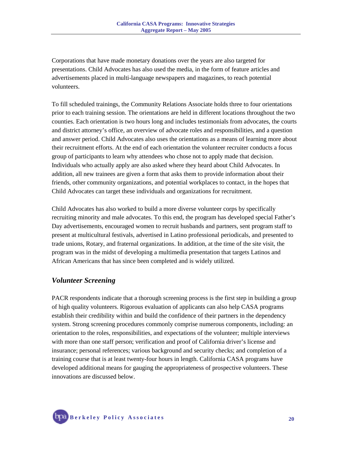Corporations that have made monetary donations over the years are also targeted for presentations. Child Advocates has also used the media, in the form of feature articles and advertisements placed in multi-language newspapers and magazines, to reach potential volunteers.

To fill scheduled trainings, the Community Relations Associate holds three to four orientations prior to each training session. The orientations are held in different locations throughout the two counties. Each orientation is two hours long and includes testimonials from advocates, the courts and district attorney's office, an overview of advocate roles and responsibilities, and a question and answer period. Child Advocates also uses the orientations as a means of learning more about their recruitment efforts. At the end of each orientation the volunteer recruiter conducts a focus group of participants to learn why attendees who chose not to apply made that decision. Individuals who actually apply are also asked where they heard about Child Advocates. In addition, all new trainees are given a form that asks them to provide information about their friends, other community organizations, and potential workplaces to contact, in the hopes that Child Advocates can target these individuals and organizations for recruitment.

Child Advocates has also worked to build a more diverse volunteer corps by specifically recruiting minority and male advocates. To this end, the program has developed special Father's Day advertisements, encouraged women to recruit husbands and partners, sent program staff to present at multicultural festivals, advertised in Latino professional periodicals, and presented to trade unions, Rotary, and fraternal organizations. In addition, at the time of the site visit, the program was in the midst of developing a multimedia presentation that targets Latinos and African Americans that has since been completed and is widely utilized.

#### *Volunteer Screening*

PACR respondents indicate that a thorough screening process is the first step in building a group of high quality volunteers. Rigorous evaluation of applicants can also help CASA programs establish their credibility within and build the confidence of their partners in the dependency system. Strong screening procedures commonly comprise numerous components, including: an orientation to the roles, responsibilities, and expectations of the volunteer; multiple interviews with more than one staff person; verification and proof of California driver's license and insurance; personal references; various background and security checks; and completion of a training course that is at least twenty-four hours in length. California CASA programs have developed additional means for gauging the appropriateness of prospective volunteers. These innovations are discussed below.

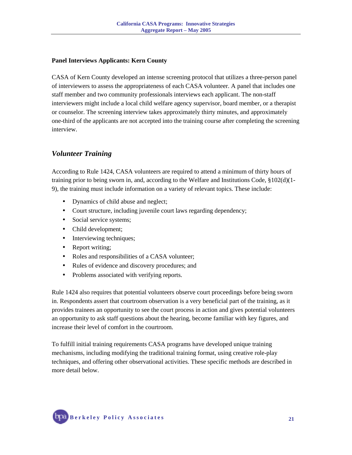#### **Panel Interviews Applicants: Kern County**

CASA of Kern County developed an intense screening protocol that utilizes a three-person panel of interviewers to assess the appropriateness of each CASA volunteer. A panel that includes one staff member and two community professionals interviews each applicant. The non-staff interviewers might include a local child welfare agency supervisor, board member, or a therapist or counselor. The screening interview takes approximately thirty minutes, and approximately one-third of the applicants are not accepted into the training course after completing the screening interview.

## *Volunteer Training*

According to Rule 1424, CASA volunteers are required to attend a minimum of thirty hours of training prior to being sworn in, and, according to the Welfare and Institutions Code, §102(d)(1- 9), the training must include information on a variety of relevant topics. These include:

- Dynamics of child abuse and neglect;
- Court structure, including juvenile court laws regarding dependency;
- Social service systems;
- Child development;
- Interviewing techniques;
- Report writing;
- Roles and responsibilities of a CASA volunteer;
- Rules of evidence and discovery procedures; and
- Problems associated with verifying reports.

Rule 1424 also requires that potential volunteers observe court proceedings before being sworn in. Respondents assert that courtroom observation is a very beneficial part of the training, as it provides trainees an opportunity to see the court process in action and gives potential volunteers an opportunity to ask staff questions about the hearing, become familiar with key figures, and increase their level of comfort in the courtroom.

To fulfill initial training requirements CASA programs have developed unique training mechanisms, including modifying the traditional training format, using creative role-play techniques, and offering other observational activities. These specific methods are described in more detail below.

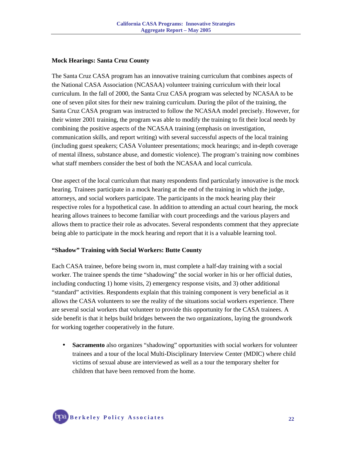#### **Mock Hearings: Santa Cruz County**

The Santa Cruz CASA program has an innovative training curriculum that combines aspects of the National CASA Association (NCASAA) volunteer training curriculum with their local curriculum. In the fall of 2000, the Santa Cruz CASA program was selected by NCASAA to be one of seven pilot sites for their new training curriculum. During the pilot of the training, the Santa Cruz CASA program was instructed to follow the NCASAA model precisely. However, for their winter 2001 training, the program was able to modify the training to fit their local needs by combining the positive aspects of the NCASAA training (emphasis on investigation, communication skills, and report writing) with several successful aspects of the local training (including guest speakers; CASA Volunteer presentations; mock hearings; and in-depth coverage of mental illness, substance abuse, and domestic violence). The program's training now combines what staff members consider the best of both the NCASAA and local curricula.

One aspect of the local curriculum that many respondents find particularly innovative is the mock hearing. Trainees participate in a mock hearing at the end of the training in which the judge, attorneys, and social workers participate. The participants in the mock hearing play their respective roles for a hypothetical case. In addition to attending an actual court hearing, the mock hearing allows trainees to become familiar with court proceedings and the various players and allows them to practice their role as advocates. Several respondents comment that they appreciate being able to participate in the mock hearing and report that it is a valuable learning tool.

#### **"Shadow" Training with Social Workers: Butte County**

Each CASA trainee, before being sworn in, must complete a half-day training with a social worker. The trainee spends the time "shadowing" the social worker in his or her official duties, including conducting 1) home visits, 2) emergency response visits, and 3) other additional "standard" activities. Respondents explain that this training component is very beneficial as it allows the CASA volunteers to see the reality of the situations social workers experience. There are several social workers that volunteer to provide this opportunity for the CASA trainees. A side benefit is that it helps build bridges between the two organizations, laying the groundwork for working together cooperatively in the future.

• **Sacramento** also organizes "shadowing" opportunities with social workers for volunteer trainees and a tour of the local Multi-Disciplinary Interview Center (MDIC) where child victims of sexual abuse are interviewed as well as a tour the temporary shelter for children that have been removed from the home.

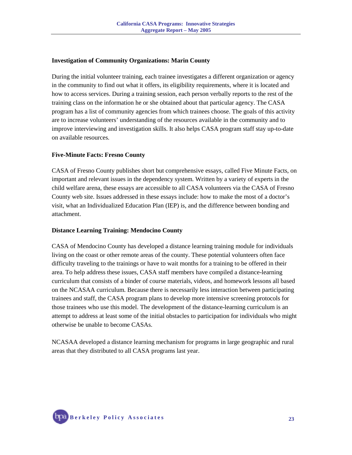#### **Investigation of Community Organizations: Marin County**

During the initial volunteer training, each trainee investigates a different organization or agency in the community to find out what it offers, its eligibility requirements, where it is located and how to access services. During a training session, each person verbally reports to the rest of the training class on the information he or she obtained about that particular agency. The CASA program has a list of community agencies from which trainees choose. The goals of this activity are to increase volunteers' understanding of the resources available in the community and to improve interviewing and investigation skills. It also helps CASA program staff stay up-to-date on available resources.

#### **Five-Minute Facts: Fresno County**

CASA of Fresno County publishes short but comprehensive essays, called Five Minute Facts, on important and relevant issues in the dependency system. Written by a variety of experts in the child welfare arena, these essays are accessible to all CASA volunteers via the CASA of Fresno County web site. Issues addressed in these essays include: how to make the most of a doctor's visit, what an Individualized Education Plan (IEP) is, and the difference between bonding and attachment.

#### **Distance Learning Training: Mendocino County**

CASA of Mendocino County has developed a distance learning training module for individuals living on the coast or other remote areas of the county. These potential volunteers often face difficulty traveling to the trainings or have to wait months for a training to be offered in their area. To help address these issues, CASA staff members have compiled a distance-learning curriculum that consists of a binder of course materials, videos, and homework lessons all based on the NCASAA curriculum. Because there is necessarily less interaction between participating trainees and staff, the CASA program plans to develop more intensive screening protocols for those trainees who use this model. The development of the distance-learning curriculum is an attempt to address at least some of the initial obstacles to participation for individuals who might otherwise be unable to become CASAs.

NCASAA developed a distance learning mechanism for programs in large geographic and rural areas that they distributed to all CASA programs last year.

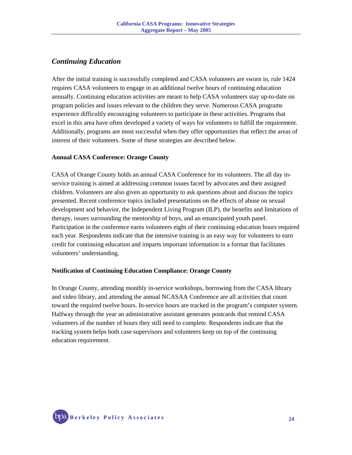## *Continuing Education*

After the initial training is successfully completed and CASA volunteers are sworn in, rule 1424 requires CASA volunteers to engage in an additional twelve hours of continuing education annually. Continuing education activities are meant to help CASA volunteers stay up-to-date on program policies and issues relevant to the children they serve. Numerous CASA programs experience difficultly encouraging volunteers to participate in these activities. Programs that excel in this area have often developed a variety of ways for volunteers to fulfill the requirement. Additionally, programs are most successful when they offer opportunities that reflect the areas of interest of their volunteers. Some of these strategies are described below.

#### **Annual CASA Conference: Orange County**

CASA of Orange County holds an annual CASA Conference for its volunteers. The all day inservice training is aimed at addressing common issues faced by advocates and their assigned children. Volunteers are also given an opportunity to ask questions about and discuss the topics presented. Recent conference topics included presentations on the effects of abuse on sexual development and behavior, the Independent Living Program (ILP), the benefits and limitations of therapy, issues surrounding the mentorship of boys, and an emancipated youth panel. Participation in the conference earns volunteers eight of their continuing education hours required each year. Respondents indicate that the intensive training is an easy way for volunteers to earn credit for continuing education and imparts important information in a format that facilitates volunteers' understanding.

#### **Notification of Continuing Education Compliance: Orange County**

In Orange County, attending monthly in-service workshops, borrowing from the CASA library and video library, and attending the annual NCASAA Conference are all activities that count toward the required twelve hours. In-service hours are tracked in the program's computer system. Halfway through the year an administrative assistant generates postcards that remind CASA volunteers of the number of hours they still need to complete. Respondents indicate that the tracking system helps both case supervisors and volunteers keep on top of the continuing education requirement.

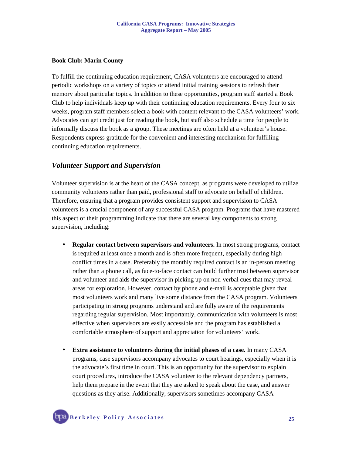#### **Book Club: Marin County**

To fulfill the continuing education requirement, CASA volunteers are encouraged to attend periodic workshops on a variety of topics or attend initial training sessions to refresh their memory about particular topics. In addition to these opportunities, program staff started a Book Club to help individuals keep up with their continuing education requirements. Every four to six weeks, program staff members select a book with content relevant to the CASA volunteers' work. Advocates can get credit just for reading the book, but staff also schedule a time for people to informally discuss the book as a group. These meetings are often held at a volunteer's house. Respondents express gratitude for the convenient and interesting mechanism for fulfilling continuing education requirements.

#### *Volunteer Support and Supervision*

Volunteer supervision is at the heart of the CASA concept, as programs were developed to utilize community volunteers rather than paid, professional staff to advocate on behalf of children. Therefore, ensuring that a program provides consistent support and supervision to CASA volunteers is a crucial component of any successful CASA program. Programs that have mastered this aspect of their programming indicate that there are several key components to strong supervision, including:

- **Regular contact between supervisors and volunteers.** In most strong programs, contact is required at least once a month and is often more frequent, especially during high conflict times in a case. Preferably the monthly required contact is an in-person meeting rather than a phone call, as face-to-face contact can build further trust between supervisor and volunteer and aids the supervisor in picking up on non-verbal cues that may reveal areas for exploration. However, contact by phone and e-mail is acceptable given that most volunteers work and many live some distance from the CASA program. Volunteers participating in strong programs understand and are fully aware of the requirements regarding regular supervision. Most importantly, communication with volunteers is most effective when supervisors are easily accessible and the program has established a comfortable atmosphere of support and appreciation for volunteers' work.
- **Extra assistance to volunteers during the initial phases of a case.** In many CASA programs, case supervisors accompany advocates to court hearings, especially when it is the advocate's first time in court. This is an opportunity for the supervisor to explain court procedures, introduce the CASA volunteer to the relevant dependency partners, help them prepare in the event that they are asked to speak about the case, and answer questions as they arise. Additionally, supervisors sometimes accompany CASA

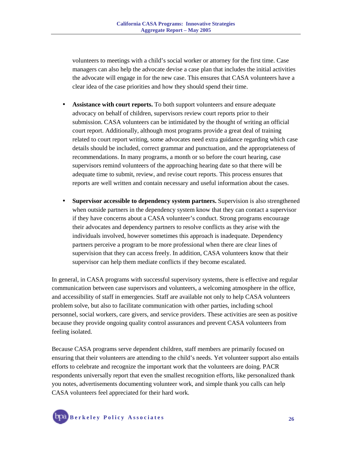volunteers to meetings with a child's social worker or attorney for the first time. Case managers can also help the advocate devise a case plan that includes the initial activities the advocate will engage in for the new case. This ensures that CASA volunteers have a clear idea of the case priorities and how they should spend their time.

- **Assistance with court reports.** To both support volunteers and ensure adequate advocacy on behalf of children, supervisors review court reports prior to their submission. CASA volunteers can be intimidated by the thought of writing an official court report. Additionally, although most programs provide a great deal of training related to court report writing, some advocates need extra guidance regarding which case details should be included, correct grammar and punctuation, and the appropriateness of recommendations. In many programs, a month or so before the court hearing, case supervisors remind volunteers of the approaching hearing date so that there will be adequate time to submit, review, and revise court reports. This process ensures that reports are well written and contain necessary and useful information about the cases.
- **Supervisor accessible to dependency system partners.** Supervision is also strengthened when outside partners in the dependency system know that they can contact a supervisor if they have concerns about a CASA volunteer's conduct. Strong programs encourage their advocates and dependency partners to resolve conflicts as they arise with the individuals involved, however sometimes this approach is inadequate. Dependency partners perceive a program to be more professional when there are clear lines of supervision that they can access freely. In addition, CASA volunteers know that their supervisor can help them mediate conflicts if they become escalated.

In general, in CASA programs with successful supervisory systems, there is effective and regular communication between case supervisors and volunteers, a welcoming atmosphere in the office, and accessibility of staff in emergencies. Staff are available not only to help CASA volunteers problem solve, but also to facilitate communication with other parties, including school personnel, social workers, care givers, and service providers. These activities are seen as positive because they provide ongoing quality control assurances and prevent CASA volunteers from feeling isolated.

Because CASA programs serve dependent children, staff members are primarily focused on ensuring that their volunteers are attending to the child's needs. Yet volunteer support also entails efforts to celebrate and recognize the important work that the volunteers are doing. PACR respondents universally report that even the smallest recognition efforts, like personalized thank you notes, advertisements documenting volunteer work, and simple thank you calls can help CASA volunteers feel appreciated for their hard work.

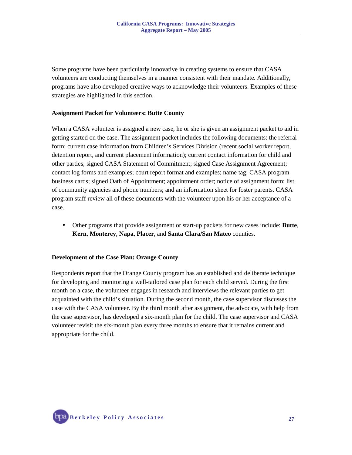Some programs have been particularly innovative in creating systems to ensure that CASA volunteers are conducting themselves in a manner consistent with their mandate. Additionally, programs have also developed creative ways to acknowledge their volunteers. Examples of these strategies are highlighted in this section.

#### **Assignment Packet for Volunteers: Butte County**

When a CASA volunteer is assigned a new case, he or she is given an assignment packet to aid in getting started on the case. The assignment packet includes the following documents: the referral form; current case information from Children's Services Division (recent social worker report, detention report, and current placement information); current contact information for child and other parties; signed CASA Statement of Commitment; signed Case Assignment Agreement; contact log forms and examples; court report format and examples; name tag; CASA program business cards; signed Oath of Appointment; appointment order; notice of assignment form; list of community agencies and phone numbers; and an information sheet for foster parents. CASA program staff review all of these documents with the volunteer upon his or her acceptance of a case.

• Other programs that provide assignment or start-up packets for new cases include: **Butte**, **Kern**, **Monterey**, **Napa**, **Placer**, and **Santa Clara/San Mateo** counties.

#### **Development of the Case Plan: Orange County**

Respondents report that the Orange County program has an established and deliberate technique for developing and monitoring a well-tailored case plan for each child served. During the first month on a case, the volunteer engages in research and interviews the relevant parties to get acquainted with the child's situation. During the second month, the case supervisor discusses the case with the CASA volunteer. By the third month after assignment, the advocate, with help from the case supervisor, has developed a six-month plan for the child. The case supervisor and CASA volunteer revisit the six-month plan every three months to ensure that it remains current and appropriate for the child.

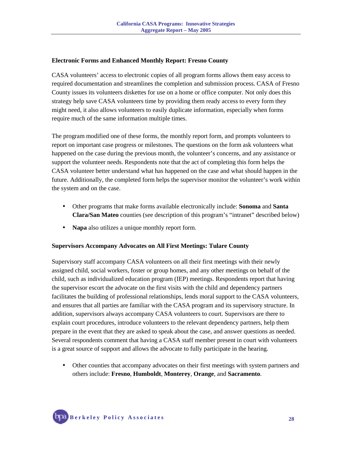#### **Electronic Forms and Enhanced Monthly Report: Fresno County**

CASA volunteers' access to electronic copies of all program forms allows them easy access to required documentation and streamlines the completion and submission process. CASA of Fresno County issues its volunteers diskettes for use on a home or office computer. Not only does this strategy help save CASA volunteers time by providing them ready access to every form they might need, it also allows volunteers to easily duplicate information, especially when forms require much of the same information multiple times.

The program modified one of these forms, the monthly report form, and prompts volunteers to report on important case progress or milestones. The questions on the form ask volunteers what happened on the case during the previous month, the volunteer's concerns, and any assistance or support the volunteer needs. Respondents note that the act of completing this form helps the CASA volunteer better understand what has happened on the case and what should happen in the future. Additionally, the completed form helps the supervisor monitor the volunteer's work within the system and on the case.

- Other programs that make forms available electronically include: **Sonoma** and **Santa Clara/San Mateo** counties (see description of this program's "intranet" described below)
- **Napa** also utilizes a unique monthly report form.

#### **Supervisors Accompany Advocates on All First Meetings: Tulare County**

Supervisory staff accompany CASA volunteers on all their first meetings with their newly assigned child, social workers, foster or group homes, and any other meetings on behalf of the child, such as individualized education program (IEP) meetings. Respondents report that having the supervisor escort the advocate on the first visits with the child and dependency partners facilitates the building of professional relationships, lends moral support to the CASA volunteers, and ensures that all parties are familiar with the CASA program and its supervisory structure. In addition, supervisors always accompany CASA volunteers to court. Supervisors are there to explain court procedures, introduce volunteers to the relevant dependency partners, help them prepare in the event that they are asked to speak about the case, and answer questions as needed. Several respondents comment that having a CASA staff member present in court with volunteers is a great source of support and allows the advocate to fully participate in the hearing.

• Other counties that accompany advocates on their first meetings with system partners and others include: **Fresno**, **Humboldt**, **Monterey**, **Orange**, and **Sacramento**.

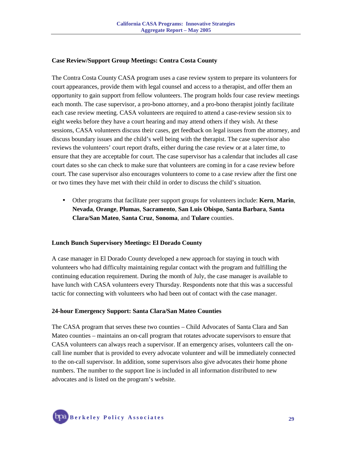#### **Case Review/Support Group Meetings: Contra Costa County**

The Contra Costa County CASA program uses a case review system to prepare its volunteers for court appearances, provide them with legal counsel and access to a therapist, and offer them an opportunity to gain support from fellow volunteers. The program holds four case review meetings each month. The case supervisor, a pro-bono attorney, and a pro-bono therapist jointly facilitate each case review meeting. CASA volunteers are required to attend a case-review session six to eight weeks before they have a court hearing and may attend others if they wish. At these sessions, CASA volunteers discuss their cases, get feedback on legal issues from the attorney, and discuss boundary issues and the child's well being with the therapist. The case supervisor also reviews the volunteers' court report drafts, either during the case review or at a later time, to ensure that they are acceptable for court. The case supervisor has a calendar that includes all case court dates so she can check to make sure that volunteers are coming in for a case review before court. The case supervisor also encourages volunteers to come to a case review after the first one or two times they have met with their child in order to discuss the child's situation.

• Other programs that facilitate peer support groups for volunteers include: **Kern**, **Marin**, **Nevada**, **Orange**, **Plumas**, **Sacramento**, **San Luis Obispo**, **Santa Barbara**, **Santa Clara/San Mateo**, **Santa Cruz**, **Sonoma**, and **Tulare** counties.

#### **Lunch Bunch Supervisory Meetings: El Dorado County**

A case manager in El Dorado County developed a new approach for staying in touch with volunteers who had difficulty maintaining regular contact with the program and fulfilling the continuing education requirement. During the month of July, the case manager is available to have lunch with CASA volunteers every Thursday. Respondents note that this was a successful tactic for connecting with volunteers who had been out of contact with the case manager.

#### **24-hour Emergency Support: Santa Clara/San Mateo Counties**

The CASA program that serves these two counties – Child Advocates of Santa Clara and San Mateo counties – maintains an on-call program that rotates advocate supervisors to ensure that CASA volunteers can always reach a supervisor. If an emergency arises, volunteers call the oncall line number that is provided to every advocate volunteer and will be immediately connected to the on-call supervisor. In addition, some supervisors also give advocates their home phone numbers. The number to the support line is included in all information distributed to new advocates and is listed on the program's website.

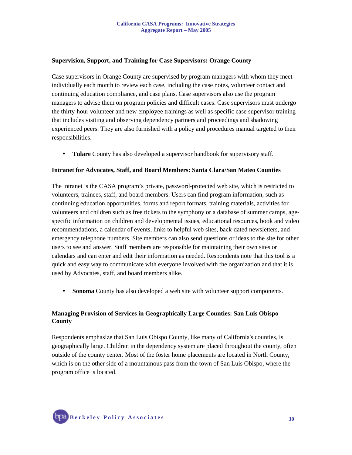#### **Supervision, Support, and Training for Case Supervisors: Orange County**

Case supervisors in Orange County are supervised by program managers with whom they meet individually each month to review each case, including the case notes, volunteer contact and continuing education compliance, and case plans. Case supervisors also use the program managers to advise them on program policies and difficult cases. Case supervisors must undergo the thirty-hour volunteer and new employee trainings as well as specific case supervisor training that includes visiting and observing dependency partners and proceedings and shadowing experienced peers. They are also furnished with a policy and procedures manual targeted to their responsibilities.

• **Tulare** County has also developed a supervisor handbook for supervisory staff.

#### **Intranet for Advocates, Staff, and Board Members: Santa Clara/San Mateo Counties**

The intranet is the CASA program's private, password-protected web site, which is restricted to volunteers, trainees, staff, and board members. Users can find program information, such as continuing education opportunities, forms and report formats, training materials, activities for volunteers and children such as free tickets to the symphony or a database of summer camps, agespecific information on children and developmental issues, educational resources, book and video recommendations, a calendar of events, links to helpful web sites, back-dated newsletters, and emergency telephone numbers. Site members can also send questions or ideas to the site for other users to see and answer. Staff members are responsible for maintaining their own sites or calendars and can enter and edit their information as needed. Respondents note that this tool is a quick and easy way to communicate with everyone involved with the organization and that it is used by Advocates, staff, and board members alike.

• **Sonoma** County has also developed a web site with volunteer support components.

#### **Managing Provision of Services in Geographically Large Counties: San Luis Obispo County**

Respondents emphasize that San Luis Obispo County, like many of California's counties, is geographically large. Children in the dependency system are placed throughout the county, often outside of the county center. Most of the foster home placements are located in North County, which is on the other side of a mountainous pass from the town of San Luis Obispo, where the program office is located.

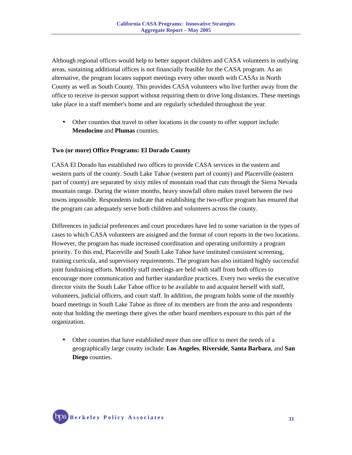Although regional offices would help to better support children and CASA volunteers in outlying areas, sustaining additional offices is not financially feasible for the CASA program. As an alternative, the program locates support meetings every other month with CASAs in North County as well as South County. This provides CASA volunteers who live further away from the office to receive in-person support without requiring them to drive long distances. These meetings take place in a staff member's home and are regularly scheduled throughout the year.

• Other counties that travel to other locations in the county to offer support include: **Mendocino** and **Plumas** counties.

#### **Two (or more) Office Programs: El Dorado County**

CASA El Dorado has established two offices to provide CASA services in the eastern and western parts of the county. South Lake Tahoe (western part of county) and Placerville (eastern part of county) are separated by sixty miles of mountain road that cuts through the Sierra Nevada mountain range. During the winter months, heavy snowfall often makes travel between the two towns impossible. Respondents indicate that establishing the two-office program has ensured that the program can adequately serve both children and volunteers across the county.

Differences in judicial preferences and court procedures have led to some variation in the types of cases to which CASA volunteers are assigned and the format of court reports in the two locations. However, the program has made increased coordination and operating uniformity a program priority. To this end, Placerville and South Lake Tahoe have instituted consistent screening, training curricula, and supervisory requirements. The program has also initiated highly successful joint fundraising efforts. Monthly staff meetings are held with staff from both offices to encourage more communication and further standardize practices. Every two weeks the executive director visits the South Lake Tahoe office to be available to and acquaint herself with staff, volunteers, judicial officers, and court staff. In addition, the program holds some of the monthly board meetings in South Lake Tahoe as three of its members are from the area and respondents note that holding the meetings there gives the other board members exposure to this part of the organization.

• Other counties that have established more than one office to meet the needs of a geographically large county include: **Los Angeles**, **Riverside**, **Santa Barbara**, and **San Diego** counties.

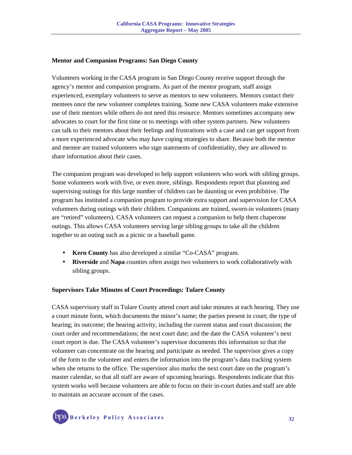#### **Mentor and Companion Programs: San Diego County**

Volunteers working in the CASA program in San Diego County receive support through the agency's mentor and companion programs. As part of the mentor program, staff assign experienced, exemplary volunteers to serve as mentors to new volunteers. Mentors contact their mentees once the new volunteer completes training. Some new CASA volunteers make extensive use of their mentors while others do not need this resource. Mentors sometimes accompany new advocates to court for the first time or to meetings with other system partners. New volunteers can talk to their mentors about their feelings and frustrations with a case and can get support from a more experienced advocate who may have coping strategies to share. Because both the mentor and mentee are trained volunteers who sign statements of confidentiality, they are allowed to share information about their cases.

The companion program was developed to help support volunteers who work with sibling groups. Some volunteers work with five, or even more, siblings. Respondents report that planning and supervising outings for this large number of children can be daunting or even prohibitive. The program has instituted a companion program to provide extra support and supervision for CASA volunteers during outings with their children. Companions are trained, sworn-in volunteers (many are "retired" volunteers). CASA volunteers can request a companion to help them chaperone outings. This allows CASA volunteers serving large sibling groups to take all the children together to an outing such as a picnic or a baseball game.

- **Kern County** has also developed a similar "Co-CASA" program.
- **Riverside** and **Napa** counties often assign two volunteers to work collaboratively with sibling groups.

#### **Supervisors Take Minutes of Court Proceedings: Tulare County**

CASA supervisory staff in Tulare County attend court and take minutes at each hearing. They use a court minute form, which documents the minor's name; the parties present in court; the type of hearing; its outcome; the hearing activity, including the current status and court discussion; the court order and recommendations; the next court date; and the date the CASA volunteer's next court report is due. The CASA volunteer's supervisor documents this information so that the volunteer can concentrate on the hearing and participate as needed. The supervisor gives a copy of the form to the volunteer and enters the information into the program's data tracking system when she returns to the office. The supervisor also marks the next court date on the program's master calendar, so that all staff are aware of upcoming hearings. Respondents indicate that this system works well because volunteers are able to focus on their in-court duties and staff are able to maintain an accurate account of the cases.

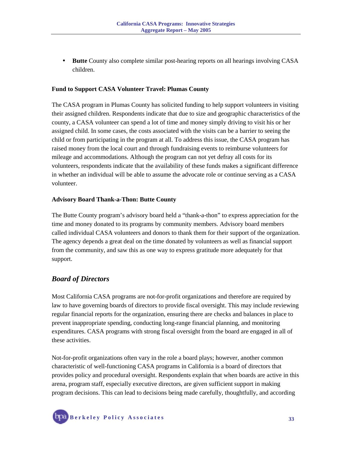• **Butte** County also complete similar post-hearing reports on all hearings involving CASA children.

#### **Fund to Support CASA Volunteer Travel: Plumas County**

The CASA program in Plumas County has solicited funding to help support volunteers in visiting their assigned children. Respondents indicate that due to size and geographic characteristics of the county, a CASA volunteer can spend a lot of time and money simply driving to visit his or her assigned child. In some cases, the costs associated with the visits can be a barrier to seeing the child or from participating in the program at all. To address this issue, the CASA program has raised money from the local court and through fundraising events to reimburse volunteers for mileage and accommodations. Although the program can not yet defray all costs for its volunteers, respondents indicate that the availability of these funds makes a significant difference in whether an individual will be able to assume the advocate role or continue serving as a CASA volunteer.

#### **Advisory Board Thank-a-Thon: Butte County**

The Butte County program's advisory board held a "thank-a-thon" to express appreciation for the time and money donated to its programs by community members. Advisory board members called individual CASA volunteers and donors to thank them for their support of the organization. The agency depends a great deal on the time donated by volunteers as well as financial support from the community, and saw this as one way to express gratitude more adequately for that support.

#### *Board of Directors*

Most California CASA programs are not-for-profit organizations and therefore are required by law to have governing boards of directors to provide fiscal oversight. This may include reviewing regular financial reports for the organization, ensuring there are checks and balances in place to prevent inappropriate spending, conducting long-range financial planning, and monitoring expenditures. CASA programs with strong fiscal oversight from the board are engaged in all of these activities.

Not-for-profit organizations often vary in the role a board plays; however, another common characteristic of well-functioning CASA programs in California is a board of directors that provides policy and procedural oversight. Respondents explain that when boards are active in this arena, program staff, especially executive directors, are given sufficient support in making program decisions. This can lead to decisions being made carefully, thoughtfully, and according

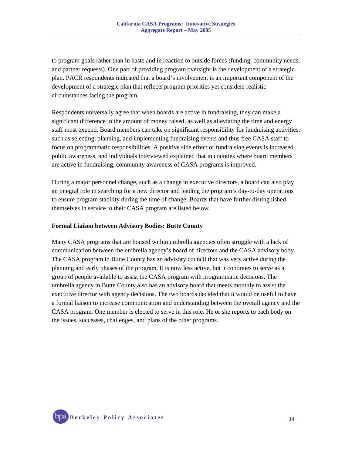to program goals rather than in haste and in reaction to outside forces (funding, community needs, and partner requests). One part of providing program oversight is the development of a strategic plan. PACR respondents indicated that a board's involvement is an important component of the development of a strategic plan that reflects program priorities yet considers realistic circumstances facing the program.

Respondents universally agree that when boards are active in fundraising, they can make a significant difference in the amount of money raised, as well as alleviating the time and energy staff must expend. Board members can take on significant responsibility for fundraising activities, such as selecting, planning, and implementing fundraising events and thus free CASA staff to focus on programmatic responsibilities. A positive side effect of fundraising events is increased public awareness, and individuals interviewed explained that in counties where board members are active in fundraising, community awareness of CASA programs is improved.

During a major personnel change, such as a change in executive directors, a board can also play an integral role in searching for a new director and leading the program's day-to-day operations to ensure program stability during the time of change. Boards that have further distinguished themselves in service to their CASA program are listed below.

#### **Formal Liaison between Advisory Bodies: Butte County**

Many CASA programs that are housed within umbrella agencies often struggle with a lack of communication between the umbrella agency's board of directors and the CASA advisory body. The CASA program in Butte County has an advisory council that was very active during the planning and early phases of the program. It is now less active, but it continues to serve as a group of people available to assist the CASA program with programmatic decisions. The umbrella agency in Butte County also has an advisory board that meets monthly to assist the executive director with agency decisions. The two boards decided that it would be useful to have a formal liaison to increase communication and understanding between the overall agency and the CASA program. One member is elected to serve in this role. He or she reports to each body on the issues, successes, challenges, and plans of the other programs.

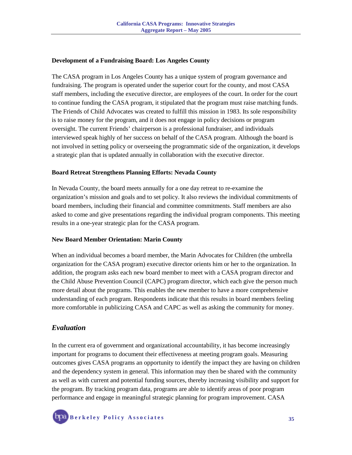#### **Development of a Fundraising Board: Los Angeles County**

The CASA program in Los Angeles County has a unique system of program governance and fundraising. The program is operated under the superior court for the county, and most CASA staff members, including the executive director, are employees of the court. In order for the court to continue funding the CASA program, it stipulated that the program must raise matching funds. The Friends of Child Advocates was created to fulfill this mission in 1983. Its sole responsibility is to raise money for the program, and it does not engage in policy decisions or program oversight. The current Friends' chairperson is a professional fundraiser, and individuals interviewed speak highly of her success on behalf of the CASA program. Although the board is not involved in setting policy or overseeing the programmatic side of the organization, it develops a strategic plan that is updated annually in collaboration with the executive director.

#### **Board Retreat Strengthens Planning Efforts: Nevada County**

In Nevada County, the board meets annually for a one day retreat to re-examine the organization's mission and goals and to set policy. It also reviews the individual commitments of board members, including their financial and committee commitments. Staff members are also asked to come and give presentations regarding the individual program components. This meeting results in a one-year strategic plan for the CASA program.

#### **New Board Member Orientation: Marin County**

When an individual becomes a board member, the Marin Advocates for Children (the umbrella organization for the CASA program) executive director orients him or her to the organization. In addition, the program asks each new board member to meet with a CASA program director and the Child Abuse Prevention Council (CAPC) program director, which each give the person much more detail about the programs. This enables the new member to have a more comprehensive understanding of each program. Respondents indicate that this results in board members feeling more comfortable in publicizing CASA and CAPC as well as asking the community for money.

## *Evaluation*

In the current era of government and organizational accountability, it has become increasingly important for programs to document their effectiveness at meeting program goals. Measuring outcomes gives CASA programs an opportunity to identify the impact they are having on children and the dependency system in general. This information may then be shared with the community as well as with current and potential funding sources, thereby increasing visibility and support for the program. By tracking program data, programs are able to identify areas of poor program performance and engage in meaningful strategic planning for program improvement. CASA

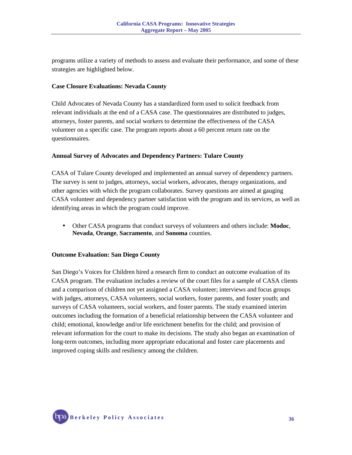programs utilize a variety of methods to assess and evaluate their performance, and some of these strategies are highlighted below.

#### **Case Closure Evaluations: Nevada County**

Child Advocates of Nevada County has a standardized form used to solicit feedback from relevant individuals at the end of a CASA case. The questionnaires are distributed to judges, attorneys, foster parents, and social workers to determine the effectiveness of the CASA volunteer on a specific case. The program reports about a 60 percent return rate on the questionnaires.

#### **Annual Survey of Advocates and Dependency Partners: Tulare County**

CASA of Tulare County developed and implemented an annual survey of dependency partners. The survey is sent to judges, attorneys, social workers, advocates, therapy organizations, and other agencies with which the program collaborates. Survey questions are aimed at gauging CASA volunteer and dependency partner satisfaction with the program and its services, as well as identifying areas in which the program could improve.

• Other CASA programs that conduct surveys of volunteers and others include: **Modoc**, **Nevada**, **Orange**, **Sacramento**, and **Sonoma** counties.

#### **Outcome Evaluation: San Diego County**

San Diego's Voices for Children hired a research firm to conduct an outcome evaluation of its CASA program. The evaluation includes a review of the court files for a sample of CASA clients and a comparison of children not yet assigned a CASA volunteer; interviews and focus groups with judges, attorneys, CASA volunteers, social workers, foster parents, and foster youth; and surveys of CASA volunteers, social workers, and foster parents. The study examined interim outcomes including the formation of a beneficial relationship between the CASA volunteer and child; emotional, knowledge and/or life enrichment benefits for the child; and provision of relevant information for the court to make its decisions. The study also began an examination of long-term outcomes, including more appropriate educational and foster care placements and improved coping skills and resiliency among the children.

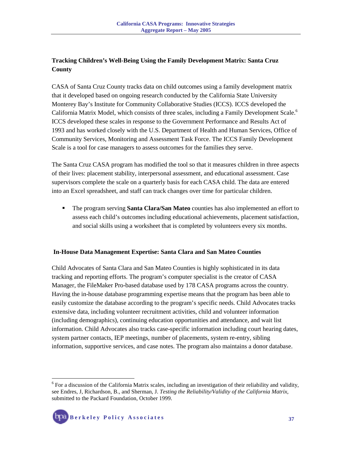## **Tracking Children's Well-Being Using the Family Development Matrix: Santa Cruz County**

CASA of Santa Cruz County tracks data on child outcomes using a family development matrix that it developed based on ongoing research conducted by the California State University Monterey Bay's Institute for Community Collaborative Studies (ICCS). ICCS developed the California Matrix Model, which consists of three scales, including a Family Development Scale.<sup>6</sup> ICCS developed these scales in response to the Government Performance and Results Act of 1993 and has worked closely with the U.S. Department of Health and Human Services, Office of Community Services, Monitoring and Assessment Task Force. The ICCS Family Development Scale is a tool for case managers to assess outcomes for the families they serve.

The Santa Cruz CASA program has modified the tool so that it measures children in three aspects of their lives: placement stability, interpersonal assessment, and educational assessment. Case supervisors complete the scale on a quarterly basis for each CASA child. The data are entered into an Excel spreadsheet, and staff can track changes over time for particular children.

 The program serving **Santa Clara/San Mateo** counties has also implemented an effort to assess each child's outcomes including educational achievements, placement satisfaction, and social skills using a worksheet that is completed by volunteers every six months.

#### **In-House Data Management Expertise: Santa Clara and San Mateo Counties**

Child Advocates of Santa Clara and San Mateo Counties is highly sophisticated in its data tracking and reporting efforts. The program's computer specialist is the creator of CASA Manager, the FileMaker Pro-based database used by 178 CASA programs across the country. Having the in-house database programming expertise means that the program has been able to easily customize the database according to the program's specific needs. Child Advocates tracks extensive data, including volunteer recruitment activities, child and volunteer information (including demographics), continuing education opportunities and attendance, and wait list information. Child Advocates also tracks case-specific information including court hearing dates, system partner contacts, IEP meetings, number of placements, system re-entry, sibling information, supportive services, and case notes. The program also maintains a donor database.

<sup>&</sup>lt;sup>6</sup> For a discussion of the California Matrix scales, including an investigation of their reliability and validity, see Endres, J, Richardson, B., and Sherman, J. *Testing the Reliability/Validity of the California Matrix*, submitted to the Packard Foundation, October 1999.



 $\overline{a}$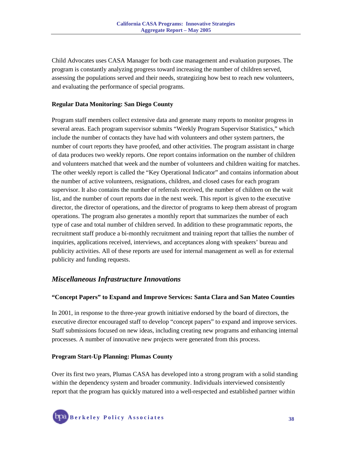Child Advocates uses CASA Manager for both case management and evaluation purposes. The program is constantly analyzing progress toward increasing the number of children served, assessing the populations served and their needs, strategizing how best to reach new volunteers, and evaluating the performance of special programs.

### **Regular Data Monitoring: San Diego County**

Program staff members collect extensive data and generate many reports to monitor progress in several areas. Each program supervisor submits "Weekly Program Supervisor Statistics," which include the number of contacts they have had with volunteers and other system partners, the number of court reports they have proofed, and other activities. The program assistant in charge of data produces two weekly reports. One report contains information on the number of children and volunteers matched that week and the number of volunteers and children waiting for matches. The other weekly report is called the "Key Operational Indicator" and contains information about the number of active volunteers, resignations, children, and closed cases for each program supervisor. It also contains the number of referrals received, the number of children on the wait list, and the number of court reports due in the next week. This report is given to the executive director, the director of operations, and the director of programs to keep them abreast of program operations. The program also generates a monthly report that summarizes the number of each type of case and total number of children served. In addition to these programmatic reports, the recruitment staff produce a bi-monthly recruitment and training report that tallies the number of inquiries, applications received, interviews, and acceptances along with speakers' bureau and publicity activities. All of these reports are used for internal management as well as for external publicity and funding requests.

## *Miscellaneous Infrastructure Innovations*

#### **"Concept Papers" to Expand and Improve Services: Santa Clara and San Mateo Counties**

In 2001, in response to the three-year growth initiative endorsed by the board of directors, the executive director encouraged staff to develop "concept papers" to expand and improve services. Staff submissions focused on new ideas, including creating new programs and enhancing internal processes. A number of innovative new projects were generated from this process.

#### **Program Start-Up Planning: Plumas County**

Over its first two years, Plumas CASA has developed into a strong program with a solid standing within the dependency system and broader community. Individuals interviewed consistently report that the program has quickly matured into a well-respected and established partner within

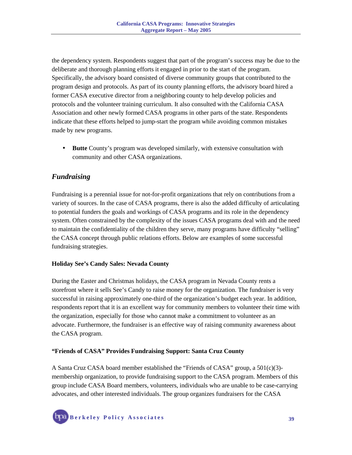the dependency system. Respondents suggest that part of the program's success may be due to the deliberate and thorough planning efforts it engaged in prior to the start of the program. Specifically, the advisory board consisted of diverse community groups that contributed to the program design and protocols. As part of its county planning efforts, the advisory board hired a former CASA executive director from a neighboring county to help develop policies and protocols and the volunteer training curriculum. It also consulted with the California CASA Association and other newly formed CASA programs in other parts of the state. Respondents indicate that these efforts helped to jump-start the program while avoiding common mistakes made by new programs.

• **Butte** County's program was developed similarly, with extensive consultation with community and other CASA organizations.

## *Fundraising*

Fundraising is a perennial issue for not-for-profit organizations that rely on contributions from a variety of sources. In the case of CASA programs, there is also the added difficulty of articulating to potential funders the goals and workings of CASA programs and its role in the dependency system. Often constrained by the complexity of the issues CASA programs deal with and the need to maintain the confidentiality of the children they serve, many programs have difficulty "selling" the CASA concept through public relations efforts. Below are examples of some successful fundraising strategies.

#### **Holiday See's Candy Sales: Nevada County**

During the Easter and Christmas holidays, the CASA program in Nevada County rents a storefront where it sells See's Candy to raise money for the organization. The fundraiser is very successful in raising approximately one-third of the organization's budget each year. In addition, respondents report that it is an excellent way for community members to volunteer their time with the organization, especially for those who cannot make a commitment to volunteer as an advocate. Furthermore, the fundraiser is an effective way of raising community awareness about the CASA program.

#### **"Friends of CASA" Provides Fundraising Support: Santa Cruz County**

A Santa Cruz CASA board member established the "Friends of CASA" group, a  $501(c)(3)$ membership organization, to provide fundraising support to the CASA program. Members of this group include CASA Board members, volunteers, individuals who are unable to be case-carrying advocates, and other interested individuals. The group organizes fundraisers for the CASA

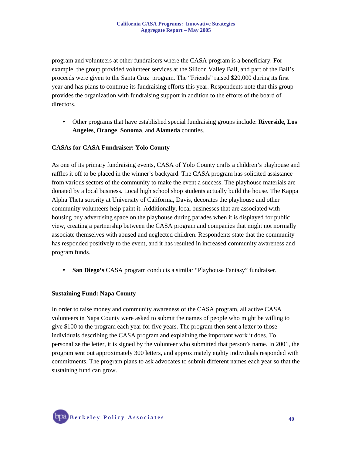program and volunteers at other fundraisers where the CASA program is a beneficiary. For example, the group provided volunteer services at the Silicon Valley Ball, and part of the Ball's proceeds were given to the Santa Cruz program. The "Friends" raised \$20,000 during its first year and has plans to continue its fundraising efforts this year. Respondents note that this group provides the organization with fundraising support in addition to the efforts of the board of directors.

• Other programs that have established special fundraising groups include: **Riverside**, **Los Angeles**, **Orange**, **Sonoma**, and **Alameda** counties.

#### **CASAs for CASA Fundraiser: Yolo County**

As one of its primary fundraising events, CASA of Yolo County crafts a children's playhouse and raffles it off to be placed in the winner's backyard. The CASA program has solicited assistance from various sectors of the community to make the event a success. The playhouse materials are donated by a local business. Local high school shop students actually build the house. The Kappa Alpha Theta sorority at University of California, Davis, decorates the playhouse and other community volunteers help paint it. Additionally, local businesses that are associated with housing buy advertising space on the playhouse during parades when it is displayed for public view, creating a partnership between the CASA program and companies that might not normally associate themselves with abused and neglected children. Respondents state that the community has responded positively to the event, and it has resulted in increased community awareness and program funds.

• **San Diego's** CASA program conducts a similar "Playhouse Fantasy" fundraiser.

#### **Sustaining Fund: Napa County**

In order to raise money and community awareness of the CASA program, all active CASA volunteers in Napa County were asked to submit the names of people who might be willing to give \$100 to the program each year for five years. The program then sent a letter to those individuals describing the CASA program and explaining the important work it does. To personalize the letter, it is signed by the volunteer who submitted that person's name. In 2001, the program sent out approximately 300 letters, and approximately eighty individuals responded with commitments. The program plans to ask advocates to submit different names each year so that the sustaining fund can grow.

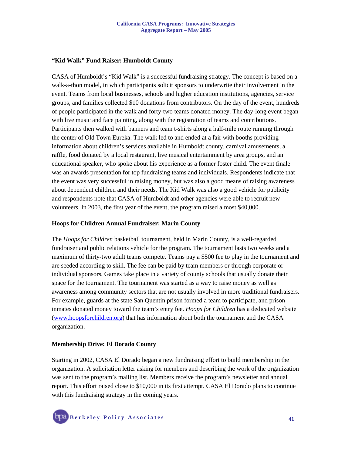#### **"Kid Walk" Fund Raiser: Humboldt County**

CASA of Humboldt's "Kid Walk" is a successful fundraising strategy. The concept is based on a walk-a-thon model, in which participants solicit sponsors to underwrite their involvement in the event. Teams from local businesses, schools and higher education institutions, agencies, service groups, and families collected \$10 donations from contributors. On the day of the event, hundreds of people participated in the walk and forty-two teams donated money. The day-long event began with live music and face painting, along with the registration of teams and contributions. Participants then walked with banners and team t-shirts along a half-mile route running through the center of Old Town Eureka. The walk led to and ended at a fair with booths providing information about children's services available in Humboldt county, carnival amusements, a raffle, food donated by a local restaurant, live musical entertainment by area groups, and an educational speaker, who spoke about his experience as a former foster child. The event finale was an awards presentation for top fundraising teams and individuals. Respondents indicate that the event was very successful in raising money, but was also a good means of raising awareness about dependent children and their needs. The Kid Walk was also a good vehicle for publicity and respondents note that CASA of Humboldt and other agencies were able to recruit new volunteers. In 2003, the first year of the event, the program raised almost \$40,000.

#### **Hoops for Children Annual Fundraiser: Marin County**

The *Hoops for Children* basketball tournament, held in Marin County, is a well-regarded fundraiser and public relations vehicle for the program. The tournament lasts two weeks and a maximum of thirty-two adult teams compete. Teams pay a \$500 fee to play in the tournament and are seeded according to skill. The fee can be paid by team members or through corporate or individual sponsors. Games take place in a variety of county schools that usually donate their space for the tournament. The tournament was started as a way to raise money as well as awareness among community sectors that are not usually involved in more traditional fundraisers. For example, guards at the state San Quentin prison formed a team to participate, and prison inmates donated money toward the team's entry fee. *Hoops for Children* has a dedicated website (www.hoopsforchildren.org) that has information about both the tournament and the CASA organization.

#### **Membership Drive: El Dorado County**

Starting in 2002, CASA El Dorado began a new fundraising effort to build membership in the organization. A solicitation letter asking for members and describing the work of the organization was sent to the program's mailing list. Members receive the program's newsletter and annual report. This effort raised close to \$10,000 in its first attempt. CASA El Dorado plans to continue with this fundraising strategy in the coming years.

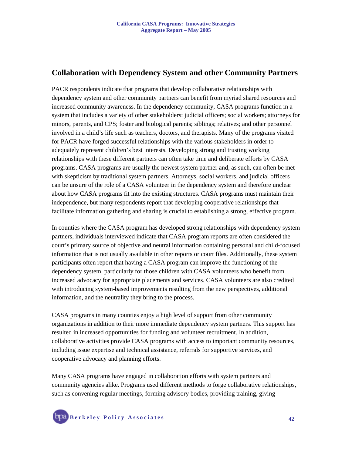## **Collaboration with Dependency System and other Community Partners**

PACR respondents indicate that programs that develop collaborative relationships with dependency system and other community partners can benefit from myriad shared resources and increased community awareness. In the dependency community, CASA programs function in a system that includes a variety of other stakeholders: judicial officers; social workers; attorneys for minors, parents, and CPS; foster and biological parents; siblings; relatives; and other personnel involved in a child's life such as teachers, doctors, and therapists. Many of the programs visited for PACR have forged successful relationships with the various stakeholders in order to adequately represent children's best interests. Developing strong and trusting working relationships with these different partners can often take time and deliberate efforts by CASA programs. CASA programs are usually the newest system partner and, as such, can often be met with skepticism by traditional system partners. Attorneys, social workers, and judicial officers can be unsure of the role of a CASA volunteer in the dependency system and therefore unclear about how CASA programs fit into the existing structures. CASA programs must maintain their independence, but many respondents report that developing cooperative relationships that facilitate information gathering and sharing is crucial to establishing a strong, effective program.

In counties where the CASA program has developed strong relationships with dependency system partners, individuals interviewed indicate that CASA program reports are often considered the court's primary source of objective and neutral information containing personal and child-focused information that is not usually available in other reports or court files. Additionally, these system participants often report that having a CASA program can improve the functioning of the dependency system, particularly for those children with CASA volunteers who benefit from increased advocacy for appropriate placements and services. CASA volunteers are also credited with introducing system-based improvements resulting from the new perspectives, additional information, and the neutrality they bring to the process.

CASA programs in many counties enjoy a high level of support from other community organizations in addition to their more immediate dependency system partners. This support has resulted in increased opportunities for funding and volunteer recruitment. In addition, collaborative activities provide CASA programs with access to important community resources, including issue expertise and technical assistance, referrals for supportive services, and cooperative advocacy and planning efforts.

Many CASA programs have engaged in collaboration efforts with system partners and community agencies alike. Programs used different methods to forge collaborative relationships, such as convening regular meetings, forming advisory bodies, providing training, giving

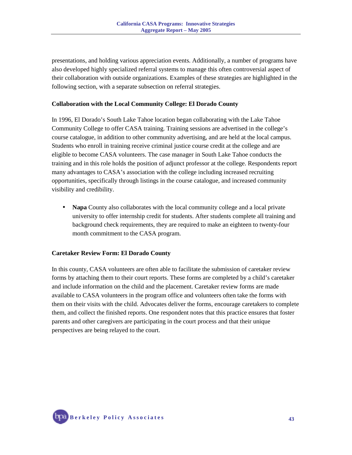presentations, and holding various appreciation events. Additionally, a number of programs have also developed highly specialized referral systems to manage this often controversial aspect of their collaboration with outside organizations. Examples of these strategies are highlighted in the following section, with a separate subsection on referral strategies.

#### **Collaboration with the Local Community College: El Dorado County**

In 1996, El Dorado's South Lake Tahoe location began collaborating with the Lake Tahoe Community College to offer CASA training. Training sessions are advertised in the college's course catalogue, in addition to other community advertising, and are held at the local campus. Students who enroll in training receive criminal justice course credit at the college and are eligible to become CASA volunteers. The case manager in South Lake Tahoe conducts the training and in this role holds the position of adjunct professor at the college. Respondents report many advantages to CASA's association with the college including increased recruiting opportunities, specifically through listings in the course catalogue, and increased community visibility and credibility.

• **Napa** County also collaborates with the local community college and a local private university to offer internship credit for students. After students complete all training and background check requirements, they are required to make an eighteen to twenty-four month commitment to the CASA program.

#### **Caretaker Review Form: El Dorado County**

In this county, CASA volunteers are often able to facilitate the submission of caretaker review forms by attaching them to their court reports. These forms are completed by a child's caretaker and include information on the child and the placement. Caretaker review forms are made available to CASA volunteers in the program office and volunteers often take the forms with them on their visits with the child. Advocates deliver the forms, encourage caretakers to complete them, and collect the finished reports. One respondent notes that this practice ensures that foster parents and other caregivers are participating in the court process and that their unique perspectives are being relayed to the court.

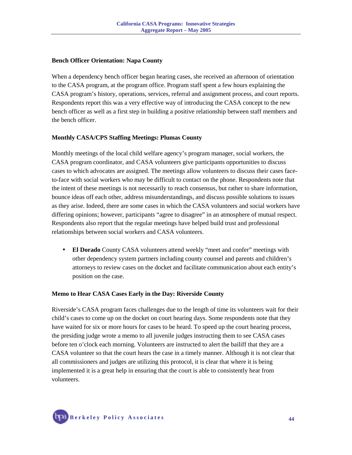#### **Bench Officer Orientation: Napa County**

When a dependency bench officer began hearing cases, she received an afternoon of orientation to the CASA program, at the program office. Program staff spent a few hours explaining the CASA program's history, operations, services, referral and assignment process, and court reports. Respondents report this was a very effective way of introducing the CASA concept to the new bench officer as well as a first step in building a positive relationship between staff members and the bench officer.

#### **Monthly CASA/CPS Staffing Meetings: Plumas County**

Monthly meetings of the local child welfare agency's program manager, social workers, the CASA program coordinator, and CASA volunteers give participants opportunities to discuss cases to which advocates are assigned. The meetings allow volunteers to discuss their cases faceto-face with social workers who may be difficult to contact on the phone. Respondents note that the intent of these meetings is not necessarily to reach consensus, but rather to share information, bounce ideas off each other, address misunderstandings, and discuss possible solutions to issues as they arise. Indeed, there are some cases in which the CASA volunteers and social workers have differing opinions; however, participants "agree to disagree" in an atmosphere of mutual respect. Respondents also report that the regular meetings have helped build trust and professional relationships between social workers and CASA volunteers.

• **El Dorado** County CASA volunteers attend weekly "meet and confer" meetings with other dependency system partners including county counsel and parents and children's attorneys to review cases on the docket and facilitate communication about each entity's position on the case.

#### **Memo to Hear CASA Cases Early in the Day: Riverside County**

Riverside's CASA program faces challenges due to the length of time its volunteers wait for their child's cases to come up on the docket on court hearing days. Some respondents note that they have waited for six or more hours for cases to be heard. To speed up the court hearing process, the presiding judge wrote a memo to all juvenile judges instructing them to see CASA cases before ten o'clock each morning. Volunteers are instructed to alert the bailiff that they are a CASA volunteer so that the court hears the case in a timely manner. Although it is not clear that all commissioners and judges are utilizing this protocol, it is clear that where it is being implemented it is a great help in ensuring that the court is able to consistently hear from volunteers.

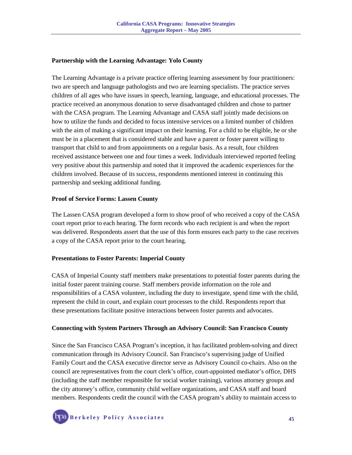#### **Partnership with the Learning Advantage: Yolo County**

The Learning Advantage is a private practice offering learning assessment by four practitioners: two are speech and language pathologists and two are learning specialists. The practice serves children of all ages who have issues in speech, learning, language, and educational processes. The practice received an anonymous donation to serve disadvantaged children and chose to partner with the CASA program. The Learning Advantage and CASA staff jointly made decisions on how to utilize the funds and decided to focus intensive services on a limited number of children with the aim of making a significant impact on their learning. For a child to be eligible, he or she must be in a placement that is considered stable and have a parent or foster parent willing to transport that child to and from appointments on a regular basis. As a result, four children received assistance between one and four times a week. Individuals interviewed reported feeling very positive about this partnership and noted that it improved the academic experiences for the children involved. Because of its success, respondents mentioned interest in continuing this partnership and seeking additional funding.

#### **Proof of Service Forms: Lassen County**

The Lassen CASA program developed a form to show proof of who received a copy of the CASA court report prior to each hearing. The form records who each recipient is and when the report was delivered. Respondents assert that the use of this form ensures each party to the case receives a copy of the CASA report prior to the court hearing.

#### **Presentations to Foster Parents: Imperial County**

CASA of Imperial County staff members make presentations to potential foster parents during the initial foster parent training course. Staff members provide information on the role and responsibilities of a CASA volunteer, including the duty to investigate, spend time with the child, represent the child in court, and explain court processes to the child. Respondents report that these presentations facilitate positive interactions between foster parents and advocates.

#### **Connecting with System Partners Through an Advisory Council: San Francisco County**

Since the San Francisco CASA Program's inception, it has facilitated problem-solving and direct communication through its Advisory Council. San Francisco's supervising judge of Unified Family Court and the CASA executive director serve as Advisory Council co-chairs. Also on the council are representatives from the court clerk's office, court-appointed mediator's office, DHS (including the staff member responsible for social worker training), various attorney groups and the city attorney's office, community child welfare organizations, and CASA staff and board members. Respondents credit the council with the CASA program's ability to maintain access to

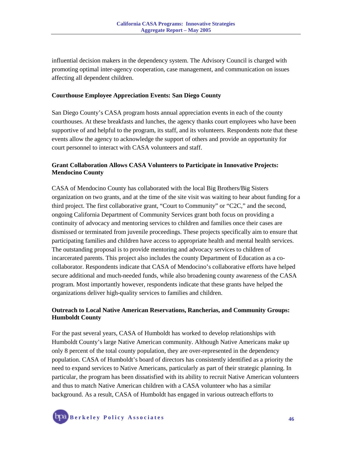influential decision makers in the dependency system. The Advisory Council is charged with promoting optimal inter-agency cooperation, case management, and communication on issues affecting all dependent children.

#### **Courthouse Employee Appreciation Events: San Diego County**

San Diego County's CASA program hosts annual appreciation events in each of the county courthouses. At these breakfasts and lunches, the agency thanks court employees who have been supportive of and helpful to the program, its staff, and its volunteers. Respondents note that these events allow the agency to acknowledge the support of others and provide an opportunity for court personnel to interact with CASA volunteers and staff.

#### **Grant Collaboration Allows CASA Volunteers to Participate in Innovative Projects: Mendocino County**

CASA of Mendocino County has collaborated with the local Big Brothers/Big Sisters organization on two grants, and at the time of the site visit was waiting to hear about funding for a third project. The first collaborative grant, "Court to Community" or "C2C," and the second, ongoing California Department of Community Services grant both focus on providing a continuity of advocacy and mentoring services to children and families once their cases are dismissed or terminated from juvenile proceedings. These projects specifically aim to ensure that participating families and children have access to appropriate health and mental health services. The outstanding proposal is to provide mentoring and advocacy services to children of incarcerated parents. This project also includes the county Department of Education as a cocollaborator. Respondents indicate that CASA of Mendocino's collaborative efforts have helped secure additional and much-needed funds, while also broadening county awareness of the CASA program. Most importantly however, respondents indicate that these grants have helped the organizations deliver high-quality services to families and children.

#### **Outreach to Local Native American Reservations, Rancherias, and Community Groups: Humboldt County**

For the past several years, CASA of Humboldt has worked to develop relationships with Humboldt County's large Native American community. Although Native Americans make up only 8 percent of the total county population, they are over-represented in the dependency population. CASA of Humboldt's board of directors has consistently identified as a priority the need to expand services to Native Americans, particularly as part of their strategic planning. In particular, the program has been dissatisfied with its ability to recruit Native American volunteers and thus to match Native American children with a CASA volunteer who has a similar background. As a result, CASA of Humboldt has engaged in various outreach efforts to

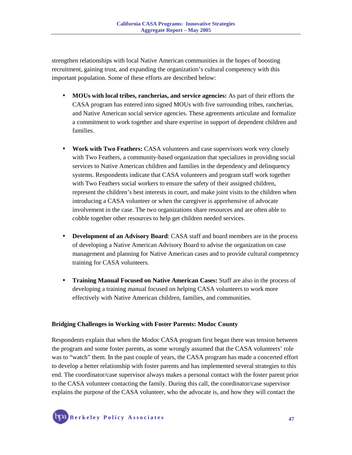strengthen relationships with local Native American communities in the hopes of boosting recruitment, gaining trust, and expanding the organization's cultural competency with this important population. Some of these efforts are described below:

- **MOUs with local tribes, rancherias, and service agencies:** As part of their efforts the CASA program has entered into signed MOUs with five surrounding tribes, rancherias, and Native American social service agencies. These agreements articulate and formalize a commitment to work together and share expertise in support of dependent children and families.
- **Work with Two Feathers:** CASA volunteers and case supervisors work very closely with Two Feathers, a community-based organization that specializes in providing social services to Native American children and families in the dependency and delinquency systems. Respondents indicate that CASA volunteers and program staff work together with Two Feathers social workers to ensure the safety of their assigned children, represent the children's best interests in court, and make joint visits to the children when introducing a CASA volunteer or when the caregiver is apprehensive of advocate involvement in the case. The two organizations share resources and are often able to cobble together other resources to help get children needed services.
- **Development of an Advisory Board**: CASA staff and board members are in the process of developing a Native American Advisory Board to advise the organization on case management and planning for Native American cases and to provide cultural competency training for CASA volunteers.
- **Training Manual Focused on Native American Cases:** Staff are also in the process of developing a training manual focused on helping CASA volunteers to work more effectively with Native American children, families, and communities.

#### **Bridging Challenges in Working with Foster Parents: Modoc County**

Respondents explain that when the Modoc CASA program first began there was tension between the program and some foster parents, as some wrongly assumed that the CASA volunteers' role was to "watch" them. In the past couple of years, the CASA program has made a concerted effort to develop a better relationship with foster parents and has implemented several strategies to this end. The coordinator/case supervisor always makes a personal contact with the foster parent prior to the CASA volunteer contacting the family. During this call, the coordinator/case supervisor explains the purpose of the CASA volunteer, who the advocate is, and how they will contact the

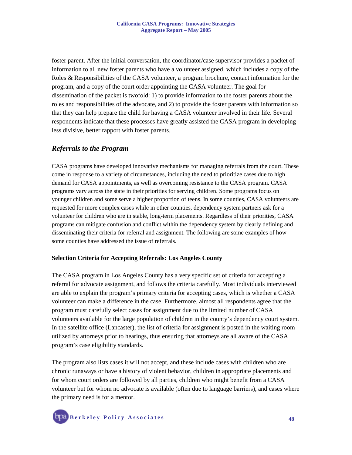foster parent. After the initial conversation, the coordinator/case supervisor provides a packet of information to all new foster parents who have a volunteer assigned, which includes a copy of the Roles & Responsibilities of the CASA volunteer, a program brochure, contact information for the program, and a copy of the court order appointing the CASA volunteer. The goal for dissemination of the packet is twofold: 1) to provide information to the foster parents about the roles and responsibilities of the advocate, and 2) to provide the foster parents with information so that they can help prepare the child for having a CASA volunteer involved in their life. Several respondents indicate that these processes have greatly assisted the CASA program in developing less divisive, better rapport with foster parents.

## *Referrals to the Program*

CASA programs have developed innovative mechanisms for managing referrals from the court. These come in response to a variety of circumstances, including the need to prioritize cases due to high demand for CASA appointments, as well as overcoming resistance to the CASA program. CASA programs vary across the state in their priorities for serving children. Some programs focus on younger children and some serve a higher proportion of teens. In some counties, CASA volunteers are requested for more complex cases while in other counties, dependency system partners ask for a volunteer for children who are in stable, long-term placements. Regardless of their priorities, CASA programs can mitigate confusion and conflict within the dependency system by clearly defining and disseminating their criteria for referral and assignment. The following are some examples of how some counties have addressed the issue of referrals.

#### **Selection Criteria for Accepting Referrals: Los Angeles County**

The CASA program in Los Angeles County has a very specific set of criteria for accepting a referral for advocate assignment, and follows the criteria carefully. Most individuals interviewed are able to explain the program's primary criteria for accepting cases, which is whether a CASA volunteer can make a difference in the case. Furthermore, almost all respondents agree that the program must carefully select cases for assignment due to the limited number of CASA volunteers available for the large population of children in the county's dependency court system. In the satellite office (Lancaster), the list of criteria for assignment is posted in the waiting room utilized by attorneys prior to hearings, thus ensuring that attorneys are all aware of the CASA program's case eligibility standards.

The program also lists cases it will not accept, and these include cases with children who are chronic runaways or have a history of violent behavior, children in appropriate placements and for whom court orders are followed by all parties, children who might benefit from a CASA volunteer but for whom no advocate is available (often due to language barriers), and cases where the primary need is for a mentor.

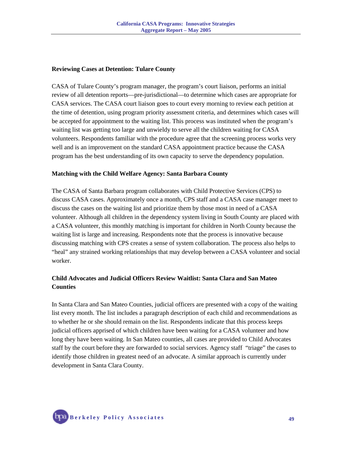#### **Reviewing Cases at Detention: Tulare County**

CASA of Tulare County's program manager, the program's court liaison, performs an initial review of all detention reports—pre-jurisdictional—to determine which cases are appropriate for CASA services. The CASA court liaison goes to court every morning to review each petition at the time of detention, using program priority assessment criteria, and determines which cases will be accepted for appointment to the waiting list. This process was instituted when the program's waiting list was getting too large and unwieldy to serve all the children waiting for CASA volunteers. Respondents familiar with the procedure agree that the screening process works very well and is an improvement on the standard CASA appointment practice because the CASA program has the best understanding of its own capacity to serve the dependency population.

#### **Matching with the Child Welfare Agency: Santa Barbara County**

The CASA of Santa Barbara program collaborates with Child Protective Services (CPS) to discuss CASA cases. Approximately once a month, CPS staff and a CASA case manager meet to discuss the cases on the waiting list and prioritize them by those most in need of a CASA volunteer. Although all children in the dependency system living in South County are placed with a CASA volunteer, this monthly matching is important for children in North County because the waiting list is large and increasing. Respondents note that the process is innovative because discussing matching with CPS creates a sense of system collaboration. The process also helps to "heal" any strained working relationships that may develop between a CASA volunteer and social worker.

### **Child Advocates and Judicial Officers Review Waitlist: Santa Clara and San Mateo Counties**

In Santa Clara and San Mateo Counties, judicial officers are presented with a copy of the waiting list every month. The list includes a paragraph description of each child and recommendations as to whether he or she should remain on the list. Respondents indicate that this process keeps judicial officers apprised of which children have been waiting for a CASA volunteer and how long they have been waiting. In San Mateo counties, all cases are provided to Child Advocates staff by the court before they are forwarded to social services. Agency staff "triage" the cases to identify those children in greatest need of an advocate. A similar approach is currently under development in Santa Clara County.

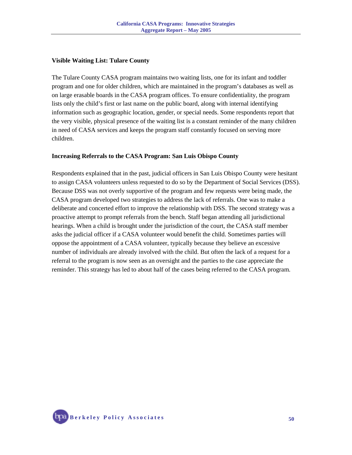#### **Visible Waiting List: Tulare County**

The Tulare County CASA program maintains two waiting lists, one for its infant and toddler program and one for older children, which are maintained in the program's databases as well as on large erasable boards in the CASA program offices. To ensure confidentiality, the program lists only the child's first or last name on the public board, along with internal identifying information such as geographic location, gender, or special needs. Some respondents report that the very visible, physical presence of the waiting list is a constant reminder of the many children in need of CASA services and keeps the program staff constantly focused on serving more children.

#### **Increasing Referrals to the CASA Program: San Luis Obispo County**

Respondents explained that in the past, judicial officers in San Luis Obispo County were hesitant to assign CASA volunteers unless requested to do so by the Department of Social Services (DSS). Because DSS was not overly supportive of the program and few requests were being made, the CASA program developed two strategies to address the lack of referrals. One was to make a deliberate and concerted effort to improve the relationship with DSS. The second strategy was a proactive attempt to prompt referrals from the bench. Staff began attending all jurisdictional hearings. When a child is brought under the jurisdiction of the court, the CASA staff member asks the judicial officer if a CASA volunteer would benefit the child. Sometimes parties will oppose the appointment of a CASA volunteer, typically because they believe an excessive number of individuals are already involved with the child. But often the lack of a request for a referral to the program is now seen as an oversight and the parties to the case appreciate the reminder. This strategy has led to about half of the cases being referred to the CASA program.

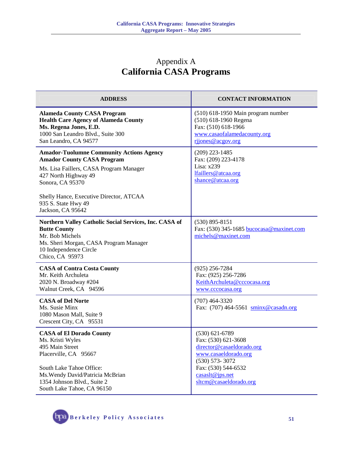## Appendix A **California CASA Programs**

| <b>ADDRESS</b>                                                                                                                                                                                                                                                     | <b>CONTACT INFORMATION</b>                                                                                                                                                               |
|--------------------------------------------------------------------------------------------------------------------------------------------------------------------------------------------------------------------------------------------------------------------|------------------------------------------------------------------------------------------------------------------------------------------------------------------------------------------|
| <b>Alameda County CASA Program</b><br><b>Health Care Agency of Alameda County</b><br>Ms. Regena Jones, E.D.<br>1000 San Leandro Blvd., Suite 300<br>San Leandro, CA 94577                                                                                          | (510) 618-1950 Main program number<br>(510) 618-1960 Regena<br>Fax: (510) 618-1966<br>www.casaofalamedacounty.org<br>rijones@acgov.org                                                   |
| <b>Amador-Tuolumne Community Actions Agency</b><br><b>Amador County CASA Program</b><br>Ms. Lisa Faillers, CASA Program Manager<br>427 North Highway 49<br>Sonora, CA 95370<br>Shelly Hance, Executive Director, ATCAA<br>935 S. State Hwy 49<br>Jackson, CA 95642 | $(209)$ 223-1485<br>Fax: (209) 223-4178<br>Lisa: x239<br>lfaillers@atcaa.org<br>shance@atcaa.org                                                                                         |
| Northern Valley Catholic Social Services, Inc. CASA of<br><b>Butte County</b><br>Mr. Bob Michels<br>Ms. Sheri Morgan, CASA Program Manager<br>10 Independence Circle<br>Chico, CA 95973                                                                            | $(530) 895 - 8151$<br>Fax: (530) 345-1685 bucocasa@maxinet.com<br>michels@maxinet.com                                                                                                    |
| <b>CASA of Contra Costa County</b><br>Mr. Keith Archuleta<br>2020 N. Broadway #204<br>Walnut Creek, CA 94596                                                                                                                                                       | $(925)$ 256-7284<br>Fax: (925) 256-7286<br>KeithArchuleta@cccocasa.org<br>www.cccocasa.org                                                                                               |
| <b>CASA of Del Norte</b><br>Ms. Susie Minx<br>1080 Mason Mall, Suite 9<br>Crescent City, CA 95531                                                                                                                                                                  | $(707)$ 464-3320<br>Fax: (707) 464-5561 sminx@casadn.org                                                                                                                                 |
| <b>CASA of El Dorado County</b><br>Ms. Kristi Wyles<br>495 Main Street<br>Placerville, CA 95667<br>South Lake Tahoe Office:<br>Ms. Wendy David/Patricia McBrian<br>1354 Johnson Blvd., Suite 2<br>South Lake Tahoe, CA 96150                                       | $(530) 621 - 6789$<br>Fax: (530) 621-3608<br>director@casaeldorado.org<br>www.casaeldorado.org<br>$(530) 573 - 3072$<br>Fax: (530) 544-6532<br>casaslt@jps.net<br>sltcm@casaeldorado.org |

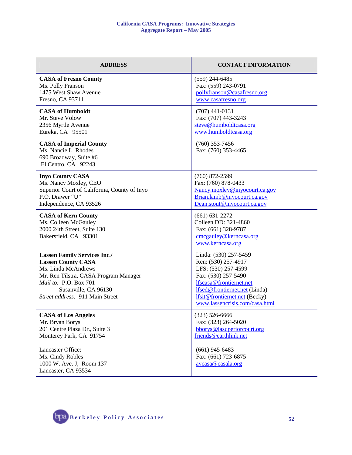| <b>ADDRESS</b>                                                                                                                                                                                                       | <b>CONTACT INFORMATION</b>                                                                                                                                                                                                |
|----------------------------------------------------------------------------------------------------------------------------------------------------------------------------------------------------------------------|---------------------------------------------------------------------------------------------------------------------------------------------------------------------------------------------------------------------------|
| <b>CASA of Fresno County</b><br>Ms. Polly Franson<br>1475 West Shaw Avenue<br>Fresno, CA 93711                                                                                                                       | $(559)$ 244-6485<br>Fax: (559) 243-0791<br>pollyfranson@casafresno.org<br>www.casafresno.org                                                                                                                              |
| <b>CASA of Humboldt</b><br>Mr. Steve Volow<br>2356 Myrtle Avenue<br>Eureka, CA 95501                                                                                                                                 | $(707)$ 441-0131<br>Fax: (707) 443-3243<br>steve@humboldtcasa.org<br>www.humboldtcasa.org                                                                                                                                 |
| <b>CASA of Imperial County</b><br>Ms. Nancie L. Rhodes<br>690 Broadway, Suite #6<br>El Centro, CA 92243                                                                                                              | $(760)$ 353-7456<br>Fax: (760) 353-4465                                                                                                                                                                                   |
| <b>Inyo County CASA</b><br>Ms. Nancy Moxley, CEO<br>Superior Court of California, County of Inyo<br>P.O. Drawer "U"<br>Independence, CA 93526                                                                        | $(760)$ 872-2599<br>Fax: (760) 878-0433<br>Nancy.moxley@inyocourt.ca.gov<br>Brian.lamb@inyocourt.ca.gov<br>Dean.stout@inyocourt.ca.gov                                                                                    |
| <b>CASA of Kern County</b><br>Ms. Colleen McGauley<br>2000 24th Street, Suite 130<br>Bakersfield, CA 93301                                                                                                           | $(661) 631 - 2272$<br>Colleen DD: 321-4860<br>Fax: (661) 328-9787<br>cmcgauley@kerncasa.org<br>www.kerncasa.org                                                                                                           |
| <b>Lassen Family Services Inc./</b><br><b>Lassen County CASA</b><br>Ms. Linda McAndrews<br>Mr. Ren Tilstra, CASA Program Manager<br>Mail to: P.O. Box 701<br>Susanville, CA 96130<br>Street address: 911 Main Street | Linda: (530) 257-5459<br>Ren: (530) 257-4917<br>LFS: (530) 257-4599<br>Fax: (530) 257-5490<br>lfscasa@frontiernet.net<br>lfsed@frontiernet.net (Linda)<br>lfsit@frontiernet.net (Becky)<br>www.lassencrisis.com/casa.html |
| <b>CASA of Los Angeles</b><br>Mr. Bryan Borys<br>201 Centre Plaza Dr., Suite 3<br>Monterey Park, CA 91754                                                                                                            | $(323) 526 - 6666$<br>Fax: (323) 264-5020<br>bborys@lasuperiorcourt.org<br>friends@earthlink.net                                                                                                                          |
| Lancaster Office:<br>Ms. Cindy Robles<br>1000 W. Ave. J, Room 137<br>Lancaster, CA 93534                                                                                                                             | $(661)$ 945-6483<br>Fax: (661) 723-6875<br>avcasa@casala.org                                                                                                                                                              |

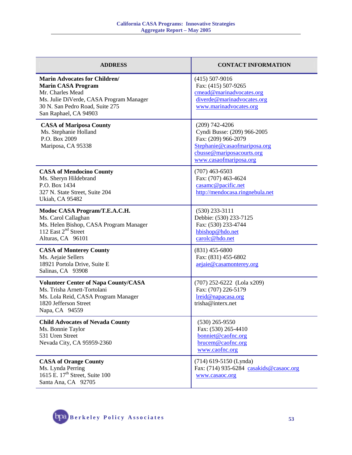| <b>ADDRESS</b>                                                                                                                                                                               | <b>CONTACT INFORMATION</b>                                                                                                                                    |
|----------------------------------------------------------------------------------------------------------------------------------------------------------------------------------------------|---------------------------------------------------------------------------------------------------------------------------------------------------------------|
| <b>Marin Advocates for Children/</b><br><b>Marin CASA Program</b><br>Mr. Charles Mead<br>Ms. Julie DiVerde, CASA Program Manager<br>30 N. San Pedro Road, Suite 275<br>San Raphael, CA 94903 | $(415)$ 507-9016<br>Fax: (415) 507-9265<br>cmead@marinadvocates.org<br>diverde@marinadvocates.org<br>www.marinadvocates.org                                   |
| <b>CASA of Mariposa County</b><br>Ms. Stephanie Holland<br>P.O. Box 2009<br>Mariposa, CA 95338                                                                                               | $(209)$ 742-4206<br>Cyndi Busse: (209) 966-2005<br>Fax: (209) 966-2079<br>Stephanie@casaofmariposa.org<br>cbusse@mariposacourts.org<br>www.casaofmariposa.org |
| <b>CASA of Mendocino County</b><br>Ms. Sheryn Hildebrand<br>P.O. Box 1434<br>327 N. State Street, Suite 204<br>Ukiah, CA 95482                                                               | $(707)$ 463-6503<br>Fax: (707) 463-4624<br>casamc@pacific.net<br>http://mendocasa.ringnebula.net                                                              |
| Modoc CASA Program/T.E.A.C.H.<br>Ms. Carol Callaghan<br>Ms. Helen Bishop, CASA Program Manager<br>112 East 2 <sup>nd</sup> Street<br>Alturas, CA 96101                                       | $(530)$ 233-3111<br>Debbie: (530) 233-7125<br>Fax: (530) 233-4744<br>hbishop@hdo.net<br>carolc@hdo.net                                                        |
| <b>CASA of Monterey County</b><br>Ms. Aejaie Sellers<br>18921 Portola Drive, Suite E<br>Salinas, CA 93908                                                                                    | $(831)$ 455-6800<br>Fax: (831) 455-6802<br>aejaie@casamonterey.org                                                                                            |
| <b>Volunteer Center of Napa County/CASA</b><br>Ms. Trisha Arnett-Tortolani<br>Ms. Lola Reid, CASA Program Manager<br>1820 Jefferson Street<br>Napa, CA 94559                                 | (707) 252-6222 (Lola x209)<br>Fax: (707) 226-5179<br>lreid@napacasa.org<br>trisha@interx.net                                                                  |
| <b>Child Advocates of Nevada County</b><br>Ms. Bonnie Taylor<br>531 Uren Street<br>Nevada City, CA 95959-2360                                                                                | $(530)$ 265-9550<br>Fax: (530) 265-4410<br>bonniet@caofnc.org<br>brucem@caofnc.org<br>www.caofnc.org                                                          |
| <b>CASA of Orange County</b><br>Ms. Lynda Perring<br>1615 E. 17 <sup>th</sup> Street, Suite 100<br>Santa Ana, CA 92705                                                                       | (714) 619-5150 (Lynda)<br>Fax: (714) 935-6284 casakids@casaoc.org<br>www.casaoc.org                                                                           |

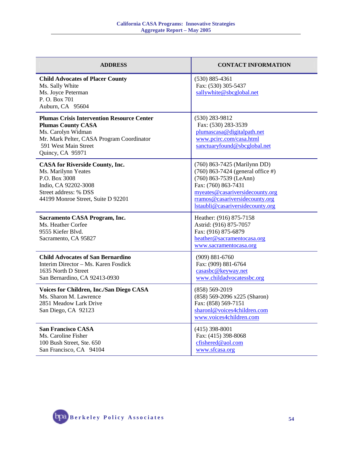| <b>ADDRESS</b>                                                                                                                                                                                | <b>CONTACT INFORMATION</b>                                                                                                                                                                                                    |
|-----------------------------------------------------------------------------------------------------------------------------------------------------------------------------------------------|-------------------------------------------------------------------------------------------------------------------------------------------------------------------------------------------------------------------------------|
| <b>Child Advocates of Placer County</b><br>Ms. Sally White<br>Ms. Joyce Peterman<br>P.O. Box 701<br>Auburn, CA 95604                                                                          | $(530) 885 - 4361$<br>Fax: (530) 305-5437<br>sallywhite@sbcglobal.net                                                                                                                                                         |
| <b>Plumas Crisis Intervention Resource Center</b><br><b>Plumas County CASA</b><br>Ms. Carolyn Widman<br>Mr. Mark Pelter, CASA Program Coordinator<br>591 West Main Street<br>Quincy, CA 95971 | $(530)$ 283-9812<br>Fax: (530) 283-3539<br>plumascasa@digitalpath.net<br>www.pcirc.com/casa.html<br>sanctuaryfound@sbcglobal.net                                                                                              |
| <b>CASA for Riverside County, Inc.</b><br>Ms. Marilynn Yeates<br>P.O. Box 3008<br>Indio, CA 92202-3008<br>Street address: % DSS<br>44199 Monroe Street, Suite D 92201                         | (760) 863-7425 (Marilynn DD)<br>$(760)$ 863-7424 (general office #)<br>(760) 863-7539 (LeAnn)<br>Fax: (760) 863-7431<br>myeates@casariversidecounty.org<br>rramos@casariversidecounty.org<br>lstaubli@casariversidecounty.org |
| Sacramento CASA Program, Inc.<br>Ms. Heather Corfee<br>9555 Kiefer Blvd.<br>Sacramento, CA 95827                                                                                              | Heather: (916) 875-7158<br>Astrid: (916) 875-7057<br>Fax: (916) 875-6879<br>heather@sacramentocasa.org<br>www.sacramentocasa.org                                                                                              |
| <b>Child Advocates of San Bernardino</b><br>Interim Director - Ms. Karen Fosdick<br>1635 North D Street<br>San Bernardino, CA 92413-0930                                                      | $(909) 881 - 6760$<br>Fax: (909) 881-6764<br>casasbc@keyway.net<br>www.childadvocatessbc.org                                                                                                                                  |
| <b>Voices for Children, Inc./San Diego CASA</b><br>Ms. Sharon M. Lawrence<br>2851 Meadow Lark Drive<br>San Diego, CA 92123                                                                    | $(858) 569 - 2019$<br>(858) 569-2096 x225 (Sharon)<br>Fax: (858) 569-7151<br>sharonl@voices4children.com<br>www.voices4children.com                                                                                           |
| <b>San Francisco CASA</b><br>Ms. Caroline Fisher<br>100 Bush Street, Ste. 650<br>San Francisco, CA 94104                                                                                      | $(415)$ 398-8001<br>Fax: (415) 398-8068<br>cfishered@aol.com<br>www.sfcasa.org                                                                                                                                                |

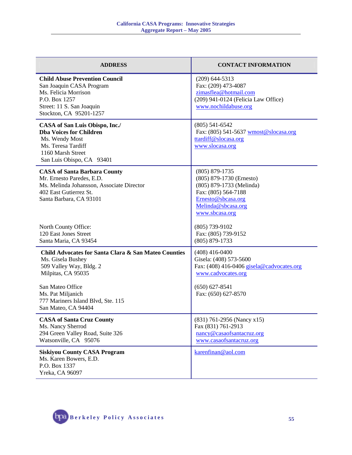| <b>ADDRESS</b>                                                                                                                                                     | <b>CONTACT INFORMATION</b>                                                                                                                                      |
|--------------------------------------------------------------------------------------------------------------------------------------------------------------------|-----------------------------------------------------------------------------------------------------------------------------------------------------------------|
| <b>Child Abuse Prevention Council</b><br>San Joaquin CASA Program<br>Ms. Felicia Morrison<br>P.O. Box 1257<br>Street: 11 S. San Joaquin<br>Stockton, CA 95201-1257 | $(209)$ 644-5313<br>Fax: (209) 473-4087<br>zimasflea@hotmail.com<br>(209) 941-0124 (Felicia Law Office)<br>www.nochildabuse.org                                 |
| CASA of San Luis Obispo, Inc./<br><b>Dba Voices for Children</b><br>Ms. Wendy Most<br>Ms. Teresa Tardiff<br>1160 Marsh Street<br>San Luis Obispo, CA 93401         | $(805)$ 541-6542<br>Fax: (805) 541-5637 wmost@slocasa.org<br>ttardiff@slocasa.org<br>www.slocasa.org                                                            |
| <b>CASA of Santa Barbara County</b><br>Mr. Ernesto Paredes, E.D.<br>Ms. Melinda Johansson, Associate Director<br>402 East Gutierrez St.<br>Santa Barbara, CA 93101 | $(805) 879 - 1735$<br>(805) 879-1730 (Ernesto)<br>(805) 879-1733 (Melinda)<br>Fax: (805) 564-7188<br>Ernesto@sbcasa.org<br>Melinda@sbcasa.org<br>www.sbcasa.org |
| North County Office:<br>120 East Jones Street<br>Santa Maria, CA 93454                                                                                             | $(805)$ 739-9102<br>Fax: (805) 739-9152<br>$(805) 879 - 1733$                                                                                                   |
| Child Advocates for Santa Clara & San Mateo Counties<br>Ms. Gisela Bushey<br>509 Valley Way, Bldg. 2<br>Milpitas, CA 95035                                         | $(408)$ 416-0400<br>Gisela: (408) 573-5600<br>Fax: (408) 416-0406 gisela@cadvocates.org<br>www.cadvocates.org                                                   |
| San Mateo Office<br>Ms. Pat Miljanich<br>777 Mariners Island Blvd, Ste. 115<br>San Mateo, CA 94404                                                                 | $(650) 627 - 8541$<br>Fax: (650) 627-8570                                                                                                                       |
| <b>CASA of Santa Cruz County</b><br>Ms. Nancy Sherrod<br>294 Green Valley Road, Suite 326<br>Watsonville, CA 95076                                                 | (831) 761-2956 (Nancy x15)<br>Fax (831) 761-2913<br>nancy@casaofsantacruz.org<br>www.casaofsantacruz.org                                                        |
| <b>Siskiyou County CASA Program</b><br>Ms. Karen Bowers, E.D.<br>P.O. Box 1337<br>Yreka, CA 96097                                                                  | karenfinan@aol.com                                                                                                                                              |